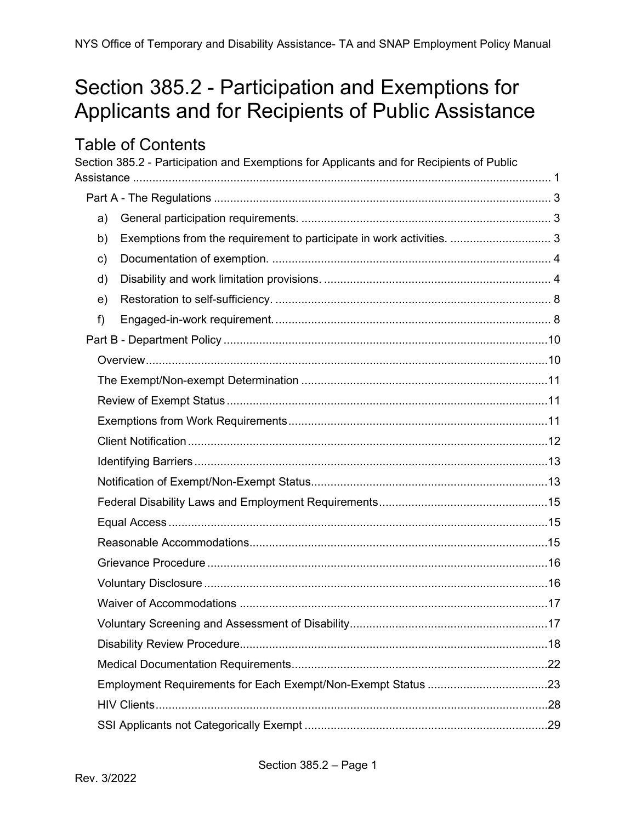# <span id="page-0-0"></span>Section 385.2 - Participation and Exemptions for Applicants and for Recipients of Public Assistance

# **Table of Contents**

|    | Section 385.2 - Participation and Exemptions for Applicants and for Recipients of Public |  |
|----|------------------------------------------------------------------------------------------|--|
|    |                                                                                          |  |
|    |                                                                                          |  |
| a) |                                                                                          |  |
| b) | Exemptions from the requirement to participate in work activities.  3                    |  |
| c) |                                                                                          |  |
| d) |                                                                                          |  |
| e) |                                                                                          |  |
| f) |                                                                                          |  |
|    |                                                                                          |  |
|    |                                                                                          |  |
|    |                                                                                          |  |
|    |                                                                                          |  |
|    |                                                                                          |  |
|    |                                                                                          |  |
|    |                                                                                          |  |
|    |                                                                                          |  |
|    |                                                                                          |  |
|    |                                                                                          |  |
|    |                                                                                          |  |
|    |                                                                                          |  |
|    |                                                                                          |  |
|    |                                                                                          |  |
|    |                                                                                          |  |
|    |                                                                                          |  |
|    |                                                                                          |  |
|    |                                                                                          |  |
|    |                                                                                          |  |
|    |                                                                                          |  |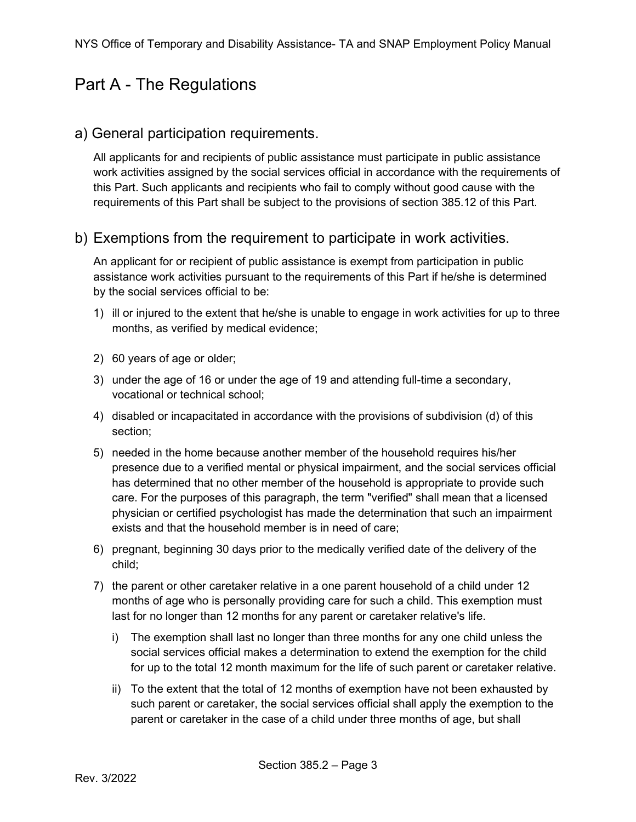# <span id="page-2-0"></span>Part A - The Regulations

#### <span id="page-2-1"></span>a) General participation requirements.

All applicants for and recipients of public assistance must participate in public assistance work activities assigned by the social services official in accordance with the requirements of this Part. Such applicants and recipients who fail to comply without good cause with the requirements of this Part shall be subject to the provisions of section 385.12 of this Part.

#### <span id="page-2-2"></span>b) Exemptions from the requirement to participate in work activities.

An applicant for or recipient of public assistance is exempt from participation in public assistance work activities pursuant to the requirements of this Part if he/she is determined by the social services official to be:

- 1) ill or injured to the extent that he/she is unable to engage in work activities for up to three months, as verified by medical evidence;
- 2) 60 years of age or older;
- 3) under the age of 16 or under the age of 19 and attending full-time a secondary, vocational or technical school;
- 4) disabled or incapacitated in accordance with the provisions of subdivision (d) of this section;
- 5) needed in the home because another member of the household requires his/her presence due to a verified mental or physical impairment, and the social services official has determined that no other member of the household is appropriate to provide such care. For the purposes of this paragraph, the term "verified" shall mean that a licensed physician or certified psychologist has made the determination that such an impairment exists and that the household member is in need of care;
- 6) pregnant, beginning 30 days prior to the medically verified date of the delivery of the child;
- 7) the parent or other caretaker relative in a one parent household of a child under 12 months of age who is personally providing care for such a child. This exemption must last for no longer than 12 months for any parent or caretaker relative's life.
	- i) The exemption shall last no longer than three months for any one child unless the social services official makes a determination to extend the exemption for the child for up to the total 12 month maximum for the life of such parent or caretaker relative.
	- ii) To the extent that the total of 12 months of exemption have not been exhausted by such parent or caretaker, the social services official shall apply the exemption to the parent or caretaker in the case of a child under three months of age, but shall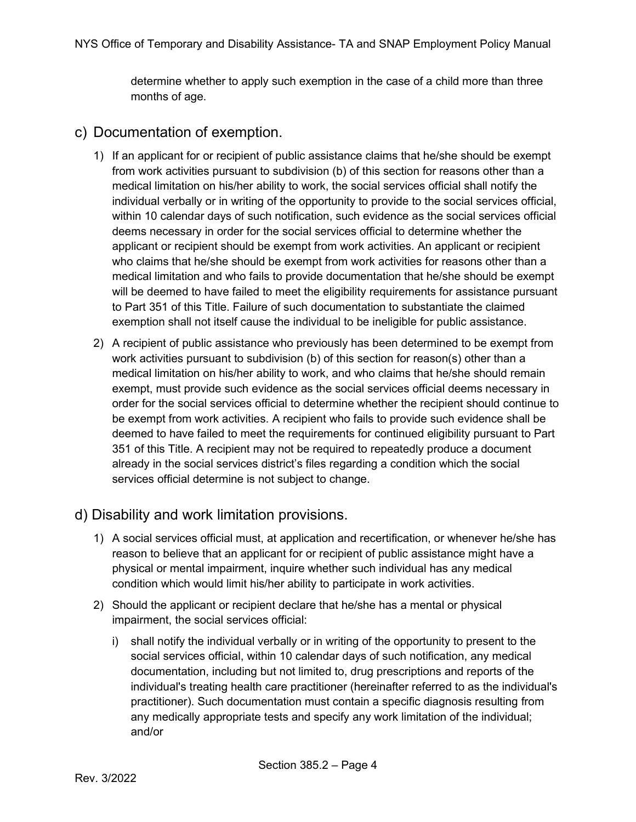determine whether to apply such exemption in the case of a child more than three months of age.

#### <span id="page-3-0"></span>c) Documentation of exemption.

- 1) If an applicant for or recipient of public assistance claims that he/she should be exempt from work activities pursuant to subdivision (b) of this section for reasons other than a medical limitation on his/her ability to work, the social services official shall notify the individual verbally or in writing of the opportunity to provide to the social services official, within 10 calendar days of such notification, such evidence as the social services official deems necessary in order for the social services official to determine whether the applicant or recipient should be exempt from work activities. An applicant or recipient who claims that he/she should be exempt from work activities for reasons other than a medical limitation and who fails to provide documentation that he/she should be exempt will be deemed to have failed to meet the eligibility requirements for assistance pursuant to Part 351 of this Title. Failure of such documentation to substantiate the claimed exemption shall not itself cause the individual to be ineligible for public assistance.
- 2) A recipient of public assistance who previously has been determined to be exempt from work activities pursuant to subdivision (b) of this section for reason(s) other than a medical limitation on his/her ability to work, and who claims that he/she should remain exempt, must provide such evidence as the social services official deems necessary in order for the social services official to determine whether the recipient should continue to be exempt from work activities. A recipient who fails to provide such evidence shall be deemed to have failed to meet the requirements for continued eligibility pursuant to Part 351 of this Title. A recipient may not be required to repeatedly produce a document already in the social services district's files regarding a condition which the social services official determine is not subject to change.

### <span id="page-3-1"></span>d) Disability and work limitation provisions.

- 1) A social services official must, at application and recertification, or whenever he/she has reason to believe that an applicant for or recipient of public assistance might have a physical or mental impairment, inquire whether such individual has any medical condition which would limit his/her ability to participate in work activities.
- 2) Should the applicant or recipient declare that he/she has a mental or physical impairment, the social services official:
	- i) shall notify the individual verbally or in writing of the opportunity to present to the social services official, within 10 calendar days of such notification, any medical documentation, including but not limited to, drug prescriptions and reports of the individual's treating health care practitioner (hereinafter referred to as the individual's practitioner). Such documentation must contain a specific diagnosis resulting from any medically appropriate tests and specify any work limitation of the individual; and/or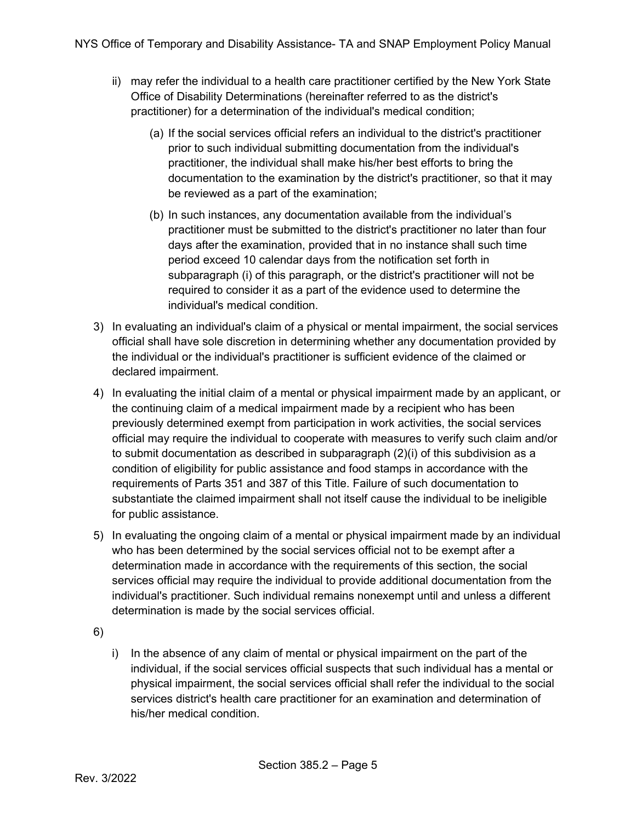- ii) may refer the individual to a health care practitioner certified by the New York State Office of Disability Determinations (hereinafter referred to as the district's practitioner) for a determination of the individual's medical condition;
	- (a) If the social services official refers an individual to the district's practitioner prior to such individual submitting documentation from the individual's practitioner, the individual shall make his/her best efforts to bring the documentation to the examination by the district's practitioner, so that it may be reviewed as a part of the examination;
	- (b) In such instances, any documentation available from the individual's practitioner must be submitted to the district's practitioner no later than four days after the examination, provided that in no instance shall such time period exceed 10 calendar days from the notification set forth in subparagraph (i) of this paragraph, or the district's practitioner will not be required to consider it as a part of the evidence used to determine the individual's medical condition.
- 3) In evaluating an individual's claim of a physical or mental impairment, the social services official shall have sole discretion in determining whether any documentation provided by the individual or the individual's practitioner is sufficient evidence of the claimed or declared impairment.
- 4) In evaluating the initial claim of a mental or physical impairment made by an applicant, or the continuing claim of a medical impairment made by a recipient who has been previously determined exempt from participation in work activities, the social services official may require the individual to cooperate with measures to verify such claim and/or to submit documentation as described in subparagraph (2)(i) of this subdivision as a condition of eligibility for public assistance and food stamps in accordance with the requirements of Parts 351 and 387 of this Title. Failure of such documentation to substantiate the claimed impairment shall not itself cause the individual to be ineligible for public assistance.
- 5) In evaluating the ongoing claim of a mental or physical impairment made by an individual who has been determined by the social services official not to be exempt after a determination made in accordance with the requirements of this section, the social services official may require the individual to provide additional documentation from the individual's practitioner. Such individual remains nonexempt until and unless a different determination is made by the social services official.
- 6)
- i) In the absence of any claim of mental or physical impairment on the part of the individual, if the social services official suspects that such individual has a mental or physical impairment, the social services official shall refer the individual to the social services district's health care practitioner for an examination and determination of his/her medical condition.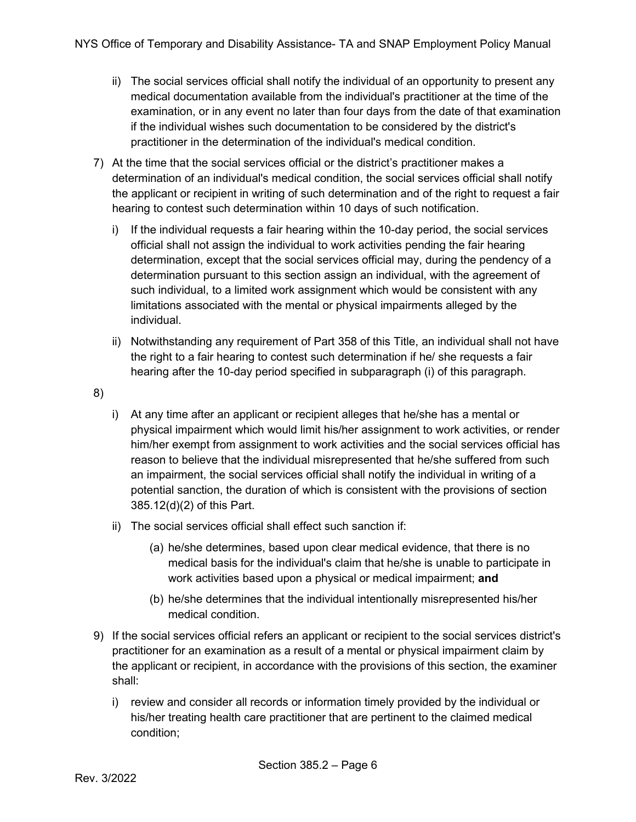- ii) The social services official shall notify the individual of an opportunity to present any medical documentation available from the individual's practitioner at the time of the examination, or in any event no later than four days from the date of that examination if the individual wishes such documentation to be considered by the district's practitioner in the determination of the individual's medical condition.
- 7) At the time that the social services official or the district's practitioner makes a determination of an individual's medical condition, the social services official shall notify the applicant or recipient in writing of such determination and of the right to request a fair hearing to contest such determination within 10 days of such notification.
	- i) If the individual requests a fair hearing within the 10-day period, the social services official shall not assign the individual to work activities pending the fair hearing determination, except that the social services official may, during the pendency of a determination pursuant to this section assign an individual, with the agreement of such individual, to a limited work assignment which would be consistent with any limitations associated with the mental or physical impairments alleged by the individual.
	- ii) Notwithstanding any requirement of Part 358 of this Title, an individual shall not have the right to a fair hearing to contest such determination if he/ she requests a fair hearing after the 10-day period specified in subparagraph (i) of this paragraph.
- 8)
- i) At any time after an applicant or recipient alleges that he/she has a mental or physical impairment which would limit his/her assignment to work activities, or render him/her exempt from assignment to work activities and the social services official has reason to believe that the individual misrepresented that he/she suffered from such an impairment, the social services official shall notify the individual in writing of a potential sanction, the duration of which is consistent with the provisions of section 385.12(d)(2) of this Part.
- ii) The social services official shall effect such sanction if:
	- (a) he/she determines, based upon clear medical evidence, that there is no medical basis for the individual's claim that he/she is unable to participate in work activities based upon a physical or medical impairment; **and**
	- (b) he/she determines that the individual intentionally misrepresented his/her medical condition.
- 9) If the social services official refers an applicant or recipient to the social services district's practitioner for an examination as a result of a mental or physical impairment claim by the applicant or recipient, in accordance with the provisions of this section, the examiner shall:
	- i) review and consider all records or information timely provided by the individual or his/her treating health care practitioner that are pertinent to the claimed medical condition;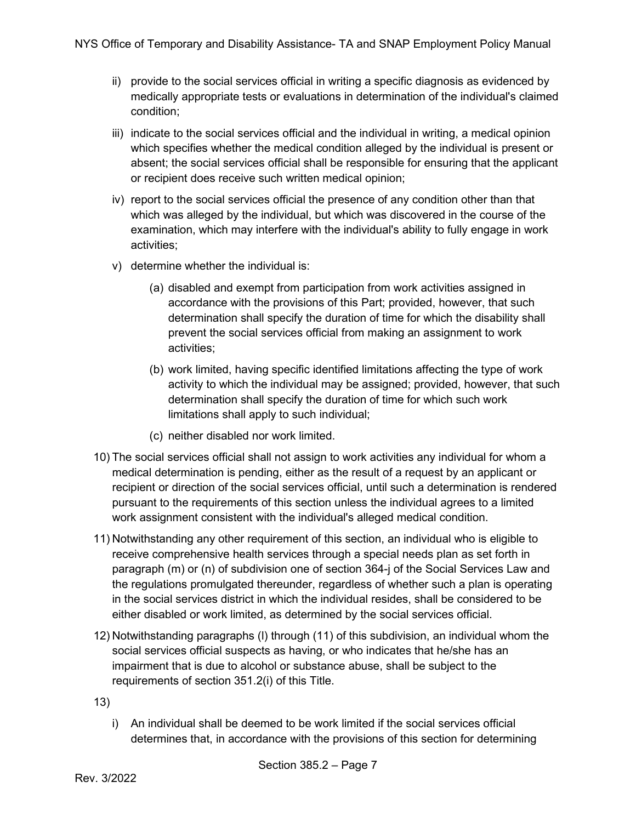- ii) provide to the social services official in writing a specific diagnosis as evidenced by medically appropriate tests or evaluations in determination of the individual's claimed condition;
- iii) indicate to the social services official and the individual in writing, a medical opinion which specifies whether the medical condition alleged by the individual is present or absent; the social services official shall be responsible for ensuring that the applicant or recipient does receive such written medical opinion;
- iv) report to the social services official the presence of any condition other than that which was alleged by the individual, but which was discovered in the course of the examination, which may interfere with the individual's ability to fully engage in work activities;
- v) determine whether the individual is:
	- (a) disabled and exempt from participation from work activities assigned in accordance with the provisions of this Part; provided, however, that such determination shall specify the duration of time for which the disability shall prevent the social services official from making an assignment to work activities;
	- (b) work limited, having specific identified limitations affecting the type of work activity to which the individual may be assigned; provided, however, that such determination shall specify the duration of time for which such work limitations shall apply to such individual;
	- (c) neither disabled nor work limited.
- 10) The social services official shall not assign to work activities any individual for whom a medical determination is pending, either as the result of a request by an applicant or recipient or direction of the social services official, until such a determination is rendered pursuant to the requirements of this section unless the individual agrees to a limited work assignment consistent with the individual's alleged medical condition.
- 11) Notwithstanding any other requirement of this section, an individual who is eligible to receive comprehensive health services through a special needs plan as set forth in paragraph (m) or (n) of subdivision one of section 364-j of the Social Services Law and the regulations promulgated thereunder, regardless of whether such a plan is operating in the social services district in which the individual resides, shall be considered to be either disabled or work limited, as determined by the social services official.
- 12) Notwithstanding paragraphs (l) through (11) of this subdivision, an individual whom the social services official suspects as having, or who indicates that he/she has an impairment that is due to alcohol or substance abuse, shall be subject to the requirements of section 351.2(i) of this Title.

13)

i) An individual shall be deemed to be work limited if the social services official determines that, in accordance with the provisions of this section for determining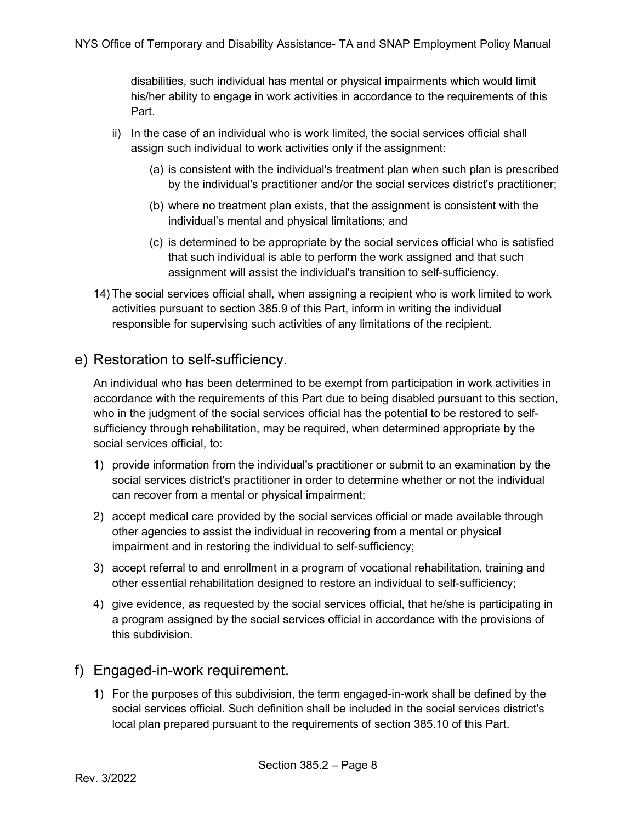disabilities, such individual has mental or physical impairments which would limit his/her ability to engage in work activities in accordance to the requirements of this Part.

- ii) In the case of an individual who is work limited, the social services official shall assign such individual to work activities only if the assignment:
	- (a) is consistent with the individual's treatment plan when such plan is prescribed by the individual's practitioner and/or the social services district's practitioner;
	- (b) where no treatment plan exists, that the assignment is consistent with the individual's mental and physical limitations; and
	- (c) is determined to be appropriate by the social services official who is satisfied that such individual is able to perform the work assigned and that such assignment will assist the individual's transition to self-sufficiency.
- 14) The social services official shall, when assigning a recipient who is work limited to work activities pursuant to section 385.9 of this Part, inform in writing the individual responsible for supervising such activities of any limitations of the recipient.

### <span id="page-7-0"></span>e) Restoration to self-sufficiency.

An individual who has been determined to be exempt from participation in work activities in accordance with the requirements of this Part due to being disabled pursuant to this section, who in the judgment of the social services official has the potential to be restored to selfsufficiency through rehabilitation, may be required, when determined appropriate by the social services official, to:

- 1) provide information from the individual's practitioner or submit to an examination by the social services district's practitioner in order to determine whether or not the individual can recover from a mental or physical impairment;
- 2) accept medical care provided by the social services official or made available through other agencies to assist the individual in recovering from a mental or physical impairment and in restoring the individual to self-sufficiency;
- 3) accept referral to and enrollment in a program of vocational rehabilitation, training and other essential rehabilitation designed to restore an individual to self-sufficiency;
- 4) give evidence, as requested by the social services official, that he/she is participating in a program assigned by the social services official in accordance with the provisions of this subdivision.

#### <span id="page-7-1"></span>f) Engaged-in-work requirement.

1) For the purposes of this subdivision, the term engaged-in-work shall be defined by the social services official. Such definition shall be included in the social services district's local plan prepared pursuant to the requirements of section 385.10 of this Part.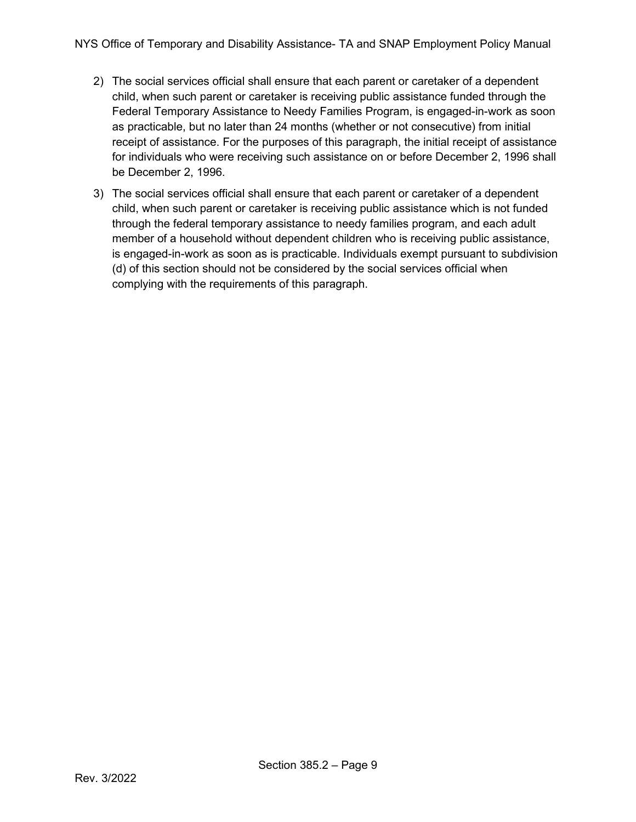- 2) The social services official shall ensure that each parent or caretaker of a dependent child, when such parent or caretaker is receiving public assistance funded through the Federal Temporary Assistance to Needy Families Program, is engaged-in-work as soon as practicable, but no later than 24 months (whether or not consecutive) from initial receipt of assistance. For the purposes of this paragraph, the initial receipt of assistance for individuals who were receiving such assistance on or before December 2, 1996 shall be December 2, 1996.
- 3) The social services official shall ensure that each parent or caretaker of a dependent child, when such parent or caretaker is receiving public assistance which is not funded through the federal temporary assistance to needy families program, and each adult member of a household without dependent children who is receiving public assistance, is engaged-in-work as soon as is practicable. Individuals exempt pursuant to subdivision (d) of this section should not be considered by the social services official when complying with the requirements of this paragraph.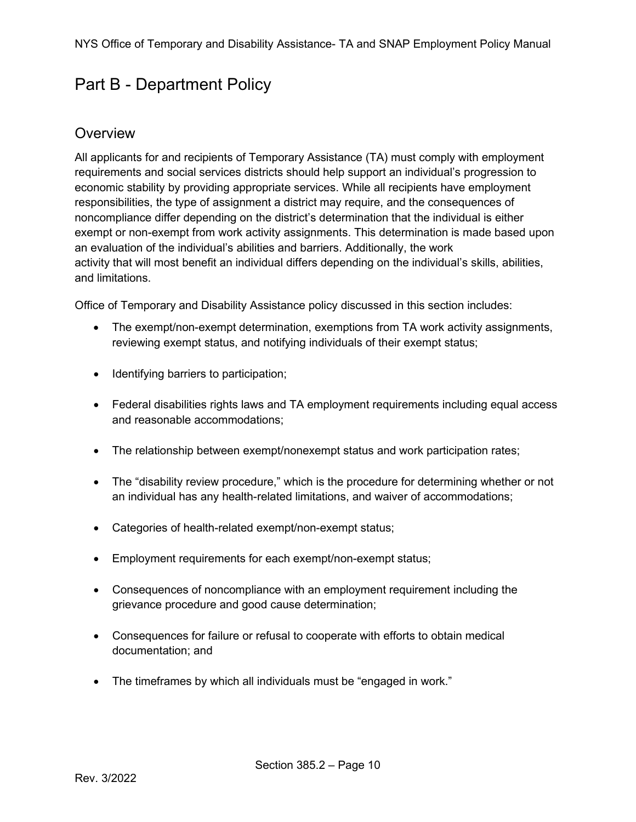# <span id="page-9-0"></span>Part B - Department Policy

### <span id="page-9-1"></span>**Overview**

All applicants for and recipients of Temporary Assistance (TA) must comply with employment requirements and social services districts should help support an individual's progression to economic stability by providing appropriate services. While all recipients have employment responsibilities, the type of assignment a district may require, and the consequences of noncompliance differ depending on the district's determination that the individual is either exempt or non-exempt from work activity assignments. This determination is made based upon an evaluation of the individual's abilities and barriers. Additionally, the work activity that will most benefit an individual differs depending on the individual's skills, abilities, and limitations.

Office of Temporary and Disability Assistance policy discussed in this section includes:

- The exempt/non-exempt determination, exemptions from TA work activity assignments, reviewing exempt status, and notifying individuals of their exempt status;
- Identifying barriers to participation;
- Federal disabilities rights laws and TA employment requirements including equal access and reasonable accommodations;
- The relationship between exempt/nonexempt status and work participation rates;
- The "disability review procedure," which is the procedure for determining whether or not an individual has any health-related limitations, and waiver of accommodations;
- Categories of health-related exempt/non-exempt status;
- Employment requirements for each exempt/non-exempt status;
- Consequences of noncompliance with an employment requirement including the grievance procedure and good cause determination;
- Consequences for failure or refusal to cooperate with efforts to obtain medical documentation; and
- The timeframes by which all individuals must be "engaged in work."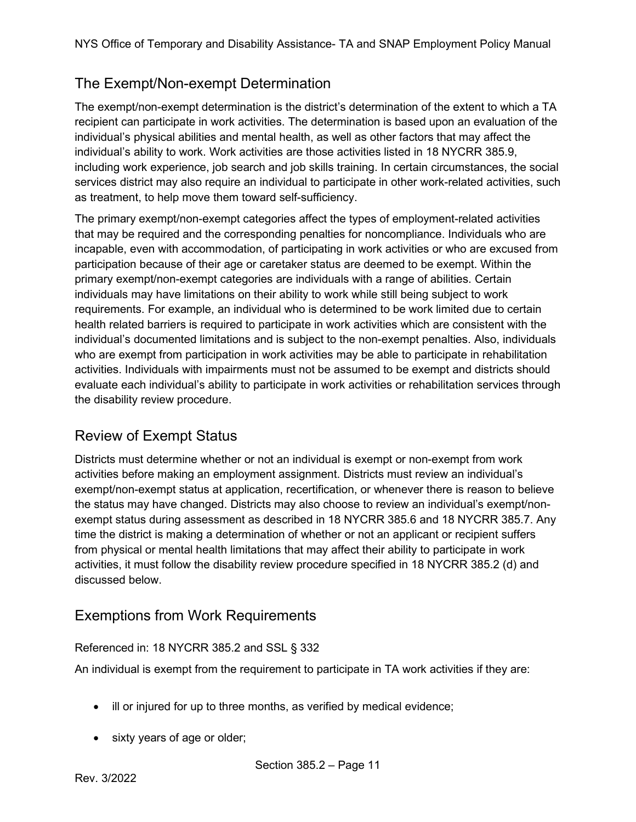# <span id="page-10-0"></span>The Exempt/Non-exempt Determination

The exempt/non-exempt determination is the district's determination of the extent to which a TA recipient can participate in work activities. The determination is based upon an evaluation of the individual's physical abilities and mental health, as well as other factors that may affect the individual's ability to work. Work activities are those activities listed in 18 NYCRR 385.9, including work experience, job search and job skills training. In certain circumstances, the social services district may also require an individual to participate in other work-related activities, such as treatment, to help move them toward self-sufficiency.

The primary exempt/non-exempt categories affect the types of employment-related activities that may be required and the corresponding penalties for noncompliance. Individuals who are incapable, even with accommodation, of participating in work activities or who are excused from participation because of their age or caretaker status are deemed to be exempt. Within the primary exempt/non-exempt categories are individuals with a range of abilities. Certain individuals may have limitations on their ability to work while still being subject to work requirements. For example, an individual who is determined to be work limited due to certain health related barriers is required to participate in work activities which are consistent with the individual's documented limitations and is subject to the non-exempt penalties. Also, individuals who are exempt from participation in work activities may be able to participate in rehabilitation activities. Individuals with impairments must not be assumed to be exempt and districts should evaluate each individual's ability to participate in work activities or rehabilitation services through the disability review procedure.

# <span id="page-10-1"></span>Review of Exempt Status

Districts must determine whether or not an individual is exempt or non-exempt from work activities before making an employment assignment. Districts must review an individual's exempt/non-exempt status at application, recertification, or whenever there is reason to believe the status may have changed. Districts may also choose to review an individual's exempt/nonexempt status during assessment as described in 18 NYCRR 385.6 and 18 NYCRR 385.7. Any time the district is making a determination of whether or not an applicant or recipient suffers from physical or mental health limitations that may affect their ability to participate in work activities, it must follow the disability review procedure specified in 18 NYCRR 385.2 (d) and discussed below.

# <span id="page-10-2"></span>Exemptions from Work Requirements

#### Referenced in: 18 NYCRR 385.2 and SSL § 332

An individual is exempt from the requirement to participate in TA work activities if they are:

- ill or injured for up to three months, as verified by medical evidence;
- sixty years of age or older;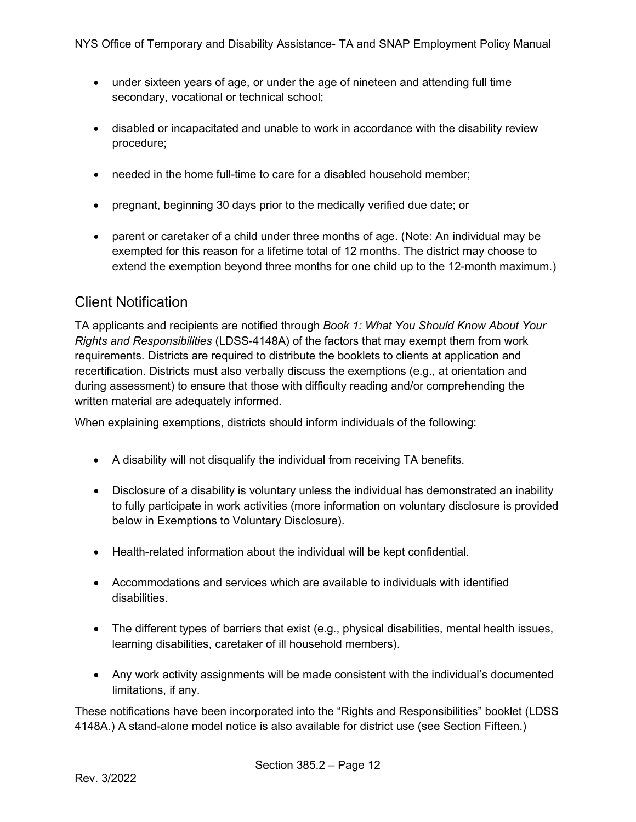- under sixteen years of age, or under the age of nineteen and attending full time secondary, vocational or technical school;
- disabled or incapacitated and unable to work in accordance with the disability review procedure;
- needed in the home full-time to care for a disabled household member;
- pregnant, beginning 30 days prior to the medically verified due date; or
- parent or caretaker of a child under three months of age. (Note: An individual may be exempted for this reason for a lifetime total of 12 months. The district may choose to extend the exemption beyond three months for one child up to the 12-month maximum.)

#### <span id="page-11-0"></span>Client Notification

TA applicants and recipients are notified through *Book 1: What You Should Know About Your Rights and Responsibilities* (LDSS-4148A) of the factors that may exempt them from work requirements. Districts are required to distribute the booklets to clients at application and recertification. Districts must also verbally discuss the exemptions (e.g., at orientation and during assessment) to ensure that those with difficulty reading and/or comprehending the written material are adequately informed.

When explaining exemptions, districts should inform individuals of the following:

- A disability will not disqualify the individual from receiving TA benefits.
- Disclosure of a disability is voluntary unless the individual has demonstrated an inability to fully participate in work activities (more information on voluntary disclosure is provided below in Exemptions to Voluntary Disclosure).
- Health-related information about the individual will be kept confidential.
- Accommodations and services which are available to individuals with identified disabilities.
- The different types of barriers that exist (e.g., physical disabilities, mental health issues, learning disabilities, caretaker of ill household members).
- Any work activity assignments will be made consistent with the individual's documented limitations, if any.

These notifications have been incorporated into the "Rights and Responsibilities" booklet (LDSS 4148A.) A stand-alone model notice is also available for district use (see Section Fifteen.)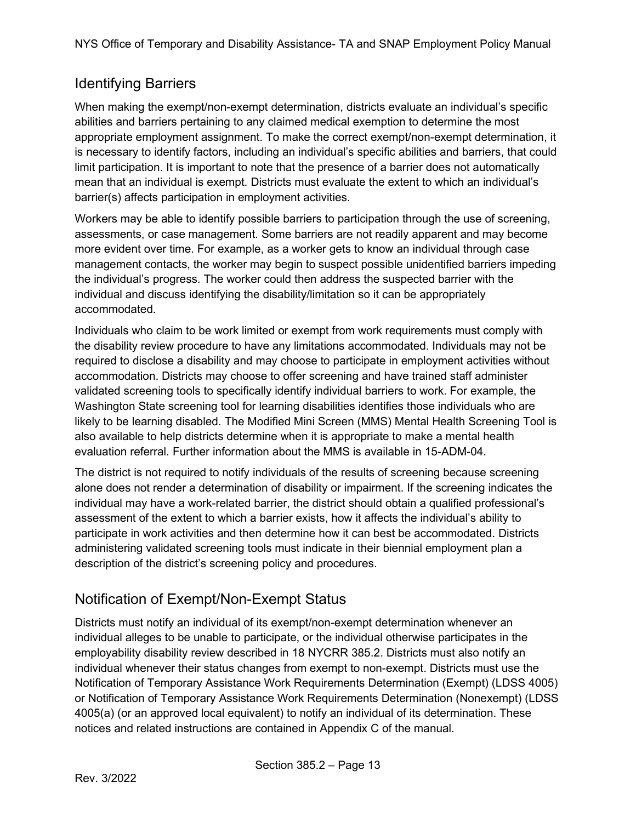# <span id="page-12-0"></span>Identifying Barriers

When making the exempt/non-exempt determination, districts evaluate an individual's specific abilities and barriers pertaining to any claimed medical exemption to determine the most appropriate employment assignment. To make the correct exempt/non-exempt determination, it is necessary to identify factors, including an individual's specific abilities and barriers, that could limit participation. It is important to note that the presence of a barrier does not automatically mean that an individual is exempt. Districts must evaluate the extent to which an individual's barrier(s) affects participation in employment activities.

Workers may be able to identify possible barriers to participation through the use of screening, assessments, or case management. Some barriers are not readily apparent and may become more evident over time. For example, as a worker gets to know an individual through case management contacts, the worker may begin to suspect possible unidentified barriers impeding the individual's progress. The worker could then address the suspected barrier with the individual and discuss identifying the disability/limitation so it can be appropriately accommodated.

Individuals who claim to be work limited or exempt from work requirements must comply with the disability review procedure to have any limitations accommodated. Individuals may not be required to disclose a disability and may choose to participate in employment activities without accommodation. Districts may choose to offer screening and have trained staff administer validated screening tools to specifically identify individual barriers to work. For example, the Washington State screening tool for learning disabilities identifies those individuals who are likely to be learning disabled. The Modified Mini Screen (MMS) Mental Health Screening Tool is also available to help districts determine when it is appropriate to make a mental health evaluation referral. Further information about the MMS is available in 15-ADM-04.

The district is not required to notify individuals of the results of screening because screening alone does not render a determination of disability or impairment. If the screening indicates the individual may have a work-related barrier, the district should obtain a qualified professional's assessment of the extent to which a barrier exists, how it affects the individual's ability to participate in work activities and then determine how it can best be accommodated. Districts administering validated screening tools must indicate in their biennial employment plan a description of the district's screening policy and procedures.

# <span id="page-12-1"></span>Notification of Exempt/Non-Exempt Status

Districts must notify an individual of its exempt/non-exempt determination whenever an individual alleges to be unable to participate, or the individual otherwise participates in the employability disability review described in 18 NYCRR 385.2. Districts must also notify an individual whenever their status changes from exempt to non-exempt. Districts must use the Notification of Temporary Assistance Work Requirements Determination (Exempt) (LDSS 4005) or Notification of Temporary Assistance Work Requirements Determination (Nonexempt) (LDSS 4005(a) (or an approved local equivalent) to notify an individual of its determination. These notices and related instructions are contained in Appendix C of the manual.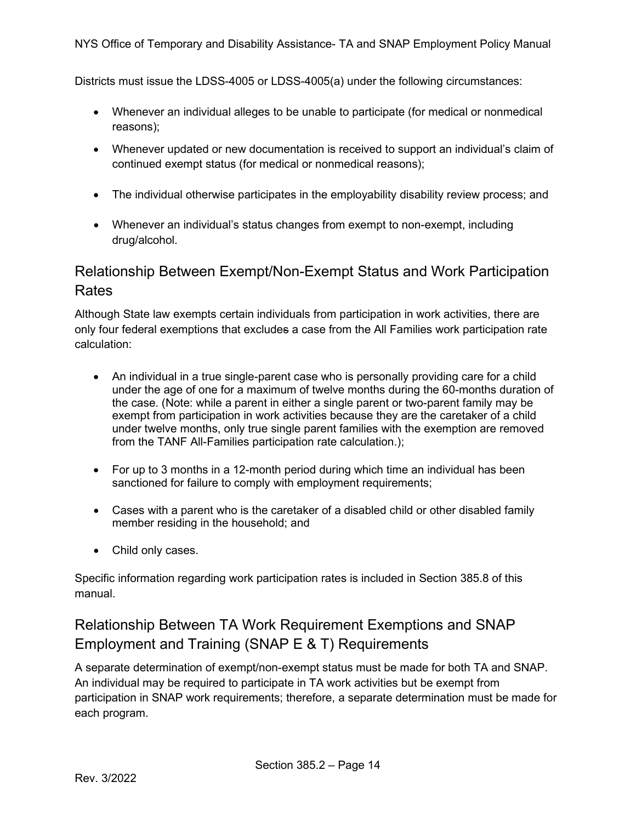Districts must issue the LDSS-4005 or LDSS-4005(a) under the following circumstances:

- Whenever an individual alleges to be unable to participate (for medical or nonmedical reasons);
- Whenever updated or new documentation is received to support an individual's claim of continued exempt status (for medical or nonmedical reasons);
- The individual otherwise participates in the employability disability review process; and
- Whenever an individual's status changes from exempt to non-exempt, including drug/alcohol.

# Relationship Between Exempt/Non-Exempt Status and Work Participation Rates

Although State law exempts certain individuals from participation in work activities, there are only four federal exemptions that excludes a case from the All Families work participation rate calculation:

- An individual in a true single-parent case who is personally providing care for a child under the age of one for a maximum of twelve months during the 60-months duration of the case. (Note: while a parent in either a single parent or two-parent family may be exempt from participation in work activities because they are the caretaker of a child under twelve months, only true single parent families with the exemption are removed from the TANF All-Families participation rate calculation.);
- For up to 3 months in a 12-month period during which time an individual has been sanctioned for failure to comply with employment requirements;
- Cases with a parent who is the caretaker of a disabled child or other disabled family member residing in the household; and
- Child only cases.

Specific information regarding work participation rates is included in Section 385.8 of this manual.

# Relationship Between TA Work Requirement Exemptions and SNAP Employment and Training (SNAP E & T) Requirements

A separate determination of exempt/non-exempt status must be made for both TA and SNAP. An individual may be required to participate in TA work activities but be exempt from participation in SNAP work requirements; therefore, a separate determination must be made for each program.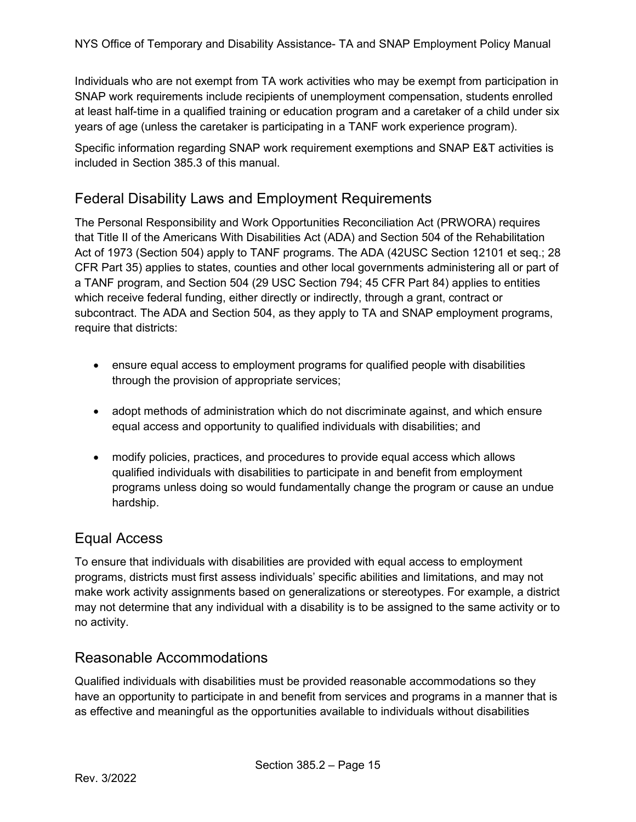Individuals who are not exempt from TA work activities who may be exempt from participation in SNAP work requirements include recipients of unemployment compensation, students enrolled at least half-time in a qualified training or education program and a caretaker of a child under six years of age (unless the caretaker is participating in a TANF work experience program).

Specific information regarding SNAP work requirement exemptions and SNAP E&T activities is included in Section 385.3 of this manual.

### <span id="page-14-0"></span>Federal Disability Laws and Employment Requirements

The Personal Responsibility and Work Opportunities Reconciliation Act (PRWORA) requires that Title II of the Americans With Disabilities Act (ADA) and Section 504 of the Rehabilitation Act of 1973 (Section 504) apply to TANF programs. The ADA (42USC Section 12101 et seq.; 28 CFR Part 35) applies to states, counties and other local governments administering all or part of a TANF program, and Section 504 (29 USC Section 794; 45 CFR Part 84) applies to entities which receive federal funding, either directly or indirectly, through a grant, contract or subcontract. The ADA and Section 504, as they apply to TA and SNAP employment programs, require that districts:

- ensure equal access to employment programs for qualified people with disabilities through the provision of appropriate services;
- adopt methods of administration which do not discriminate against, and which ensure equal access and opportunity to qualified individuals with disabilities; and
- modify policies, practices, and procedures to provide equal access which allows qualified individuals with disabilities to participate in and benefit from employment programs unless doing so would fundamentally change the program or cause an undue hardship.

# <span id="page-14-1"></span>Equal Access

To ensure that individuals with disabilities are provided with equal access to employment programs, districts must first assess individuals' specific abilities and limitations, and may not make work activity assignments based on generalizations or stereotypes. For example, a district may not determine that any individual with a disability is to be assigned to the same activity or to no activity.

### <span id="page-14-2"></span>Reasonable Accommodations

Qualified individuals with disabilities must be provided reasonable accommodations so they have an opportunity to participate in and benefit from services and programs in a manner that is as effective and meaningful as the opportunities available to individuals without disabilities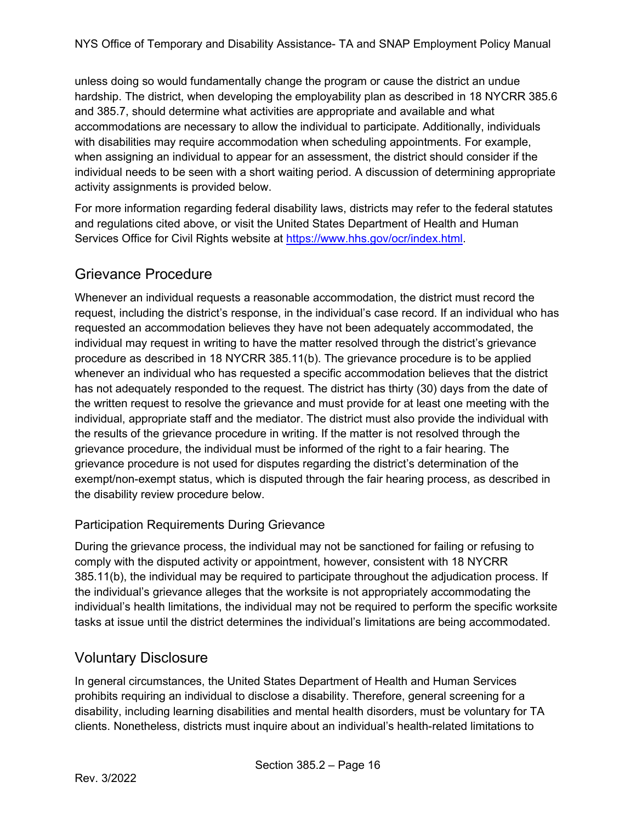unless doing so would fundamentally change the program or cause the district an undue hardship. The district, when developing the employability plan as described in 18 NYCRR 385.6 and 385.7, should determine what activities are appropriate and available and what accommodations are necessary to allow the individual to participate. Additionally, individuals with disabilities may require accommodation when scheduling appointments. For example, when assigning an individual to appear for an assessment, the district should consider if the individual needs to be seen with a short waiting period. A discussion of determining appropriate activity assignments is provided below.

For more information regarding federal disability laws, districts may refer to the federal statutes and regulations cited above, or visit the United States Department of Health and Human Services Office for Civil Rights website at [https://www.hhs.gov/ocr/index.html.](https://www.hhs.gov/ocr/index.html)

# <span id="page-15-0"></span>Grievance Procedure

Whenever an individual requests a reasonable accommodation, the district must record the request, including the district's response, in the individual's case record. If an individual who has requested an accommodation believes they have not been adequately accommodated, the individual may request in writing to have the matter resolved through the district's grievance procedure as described in 18 NYCRR 385.11(b). The grievance procedure is to be applied whenever an individual who has requested a specific accommodation believes that the district has not adequately responded to the request. The district has thirty (30) days from the date of the written request to resolve the grievance and must provide for at least one meeting with the individual, appropriate staff and the mediator. The district must also provide the individual with the results of the grievance procedure in writing. If the matter is not resolved through the grievance procedure, the individual must be informed of the right to a fair hearing. The grievance procedure is not used for disputes regarding the district's determination of the exempt/non-exempt status, which is disputed through the fair hearing process, as described in the disability review procedure below.

#### Participation Requirements During Grievance

During the grievance process, the individual may not be sanctioned for failing or refusing to comply with the disputed activity or appointment, however, consistent with 18 NYCRR 385.11(b), the individual may be required to participate throughout the adjudication process. If the individual's grievance alleges that the worksite is not appropriately accommodating the individual's health limitations, the individual may not be required to perform the specific worksite tasks at issue until the district determines the individual's limitations are being accommodated.

# <span id="page-15-1"></span>Voluntary Disclosure

In general circumstances, the United States Department of Health and Human Services prohibits requiring an individual to disclose a disability. Therefore, general screening for a disability, including learning disabilities and mental health disorders, must be voluntary for TA clients. Nonetheless, districts must inquire about an individual's health-related limitations to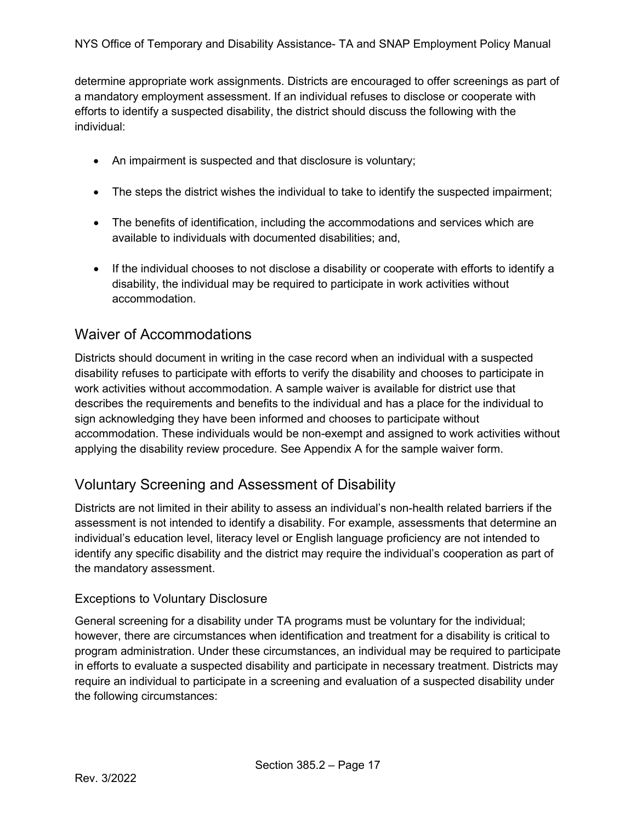determine appropriate work assignments. Districts are encouraged to offer screenings as part of a mandatory employment assessment. If an individual refuses to disclose or cooperate with efforts to identify a suspected disability, the district should discuss the following with the individual:

- An impairment is suspected and that disclosure is voluntary;
- The steps the district wishes the individual to take to identify the suspected impairment;
- The benefits of identification, including the accommodations and services which are available to individuals with documented disabilities; and,
- If the individual chooses to not disclose a disability or cooperate with efforts to identify a disability, the individual may be required to participate in work activities without accommodation.

### <span id="page-16-0"></span>Waiver of Accommodations

Districts should document in writing in the case record when an individual with a suspected disability refuses to participate with efforts to verify the disability and chooses to participate in work activities without accommodation. A sample waiver is available for district use that describes the requirements and benefits to the individual and has a place for the individual to sign acknowledging they have been informed and chooses to participate without accommodation. These individuals would be non-exempt and assigned to work activities without applying the disability review procedure. See Appendix A for the sample waiver form.

# <span id="page-16-1"></span>Voluntary Screening and Assessment of Disability

Districts are not limited in their ability to assess an individual's non-health related barriers if the assessment is not intended to identify a disability. For example, assessments that determine an individual's education level, literacy level or English language proficiency are not intended to identify any specific disability and the district may require the individual's cooperation as part of the mandatory assessment.

#### Exceptions to Voluntary Disclosure

General screening for a disability under TA programs must be voluntary for the individual; however, there are circumstances when identification and treatment for a disability is critical to program administration. Under these circumstances, an individual may be required to participate in efforts to evaluate a suspected disability and participate in necessary treatment. Districts may require an individual to participate in a screening and evaluation of a suspected disability under the following circumstances: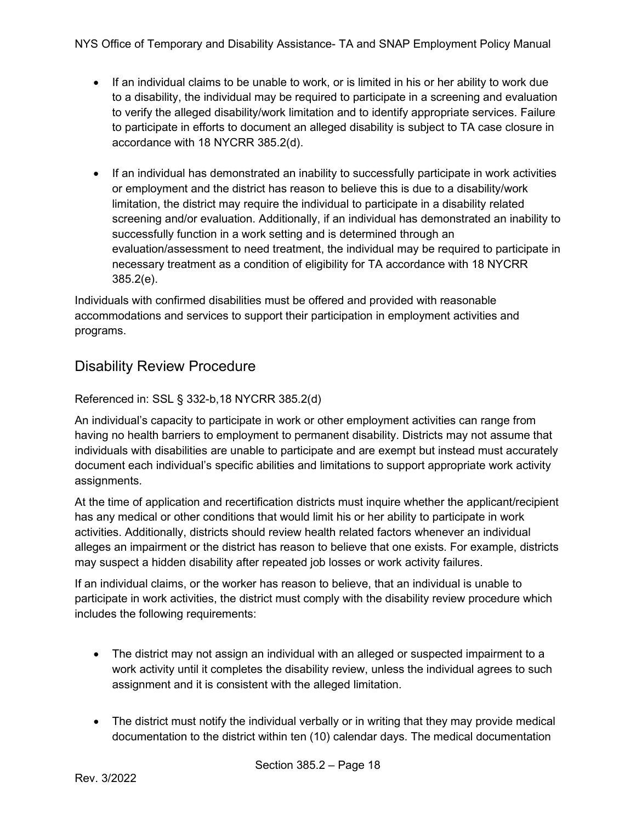- If an individual claims to be unable to work, or is limited in his or her ability to work due to a disability, the individual may be required to participate in a screening and evaluation to verify the alleged disability/work limitation and to identify appropriate services. Failure to participate in efforts to document an alleged disability is subject to TA case closure in accordance with 18 NYCRR 385.2(d).
- If an individual has demonstrated an inability to successfully participate in work activities or employment and the district has reason to believe this is due to a disability/work limitation, the district may require the individual to participate in a disability related screening and/or evaluation. Additionally, if an individual has demonstrated an inability to successfully function in a work setting and is determined through an evaluation/assessment to need treatment, the individual may be required to participate in necessary treatment as a condition of eligibility for TA accordance with 18 NYCRR 385.2(e).

Individuals with confirmed disabilities must be offered and provided with reasonable accommodations and services to support their participation in employment activities and programs.

# <span id="page-17-0"></span>Disability Review Procedure

#### Referenced in: SSL § 332-b,18 NYCRR 385.2(d)

An individual's capacity to participate in work or other employment activities can range from having no health barriers to employment to permanent disability. Districts may not assume that individuals with disabilities are unable to participate and are exempt but instead must accurately document each individual's specific abilities and limitations to support appropriate work activity assignments.

At the time of application and recertification districts must inquire whether the applicant/recipient has any medical or other conditions that would limit his or her ability to participate in work activities. Additionally, districts should review health related factors whenever an individual alleges an impairment or the district has reason to believe that one exists. For example, districts may suspect a hidden disability after repeated job losses or work activity failures.

If an individual claims, or the worker has reason to believe, that an individual is unable to participate in work activities, the district must comply with the disability review procedure which includes the following requirements:

- The district may not assign an individual with an alleged or suspected impairment to a work activity until it completes the disability review, unless the individual agrees to such assignment and it is consistent with the alleged limitation.
- The district must notify the individual verbally or in writing that they may provide medical documentation to the district within ten (10) calendar days. The medical documentation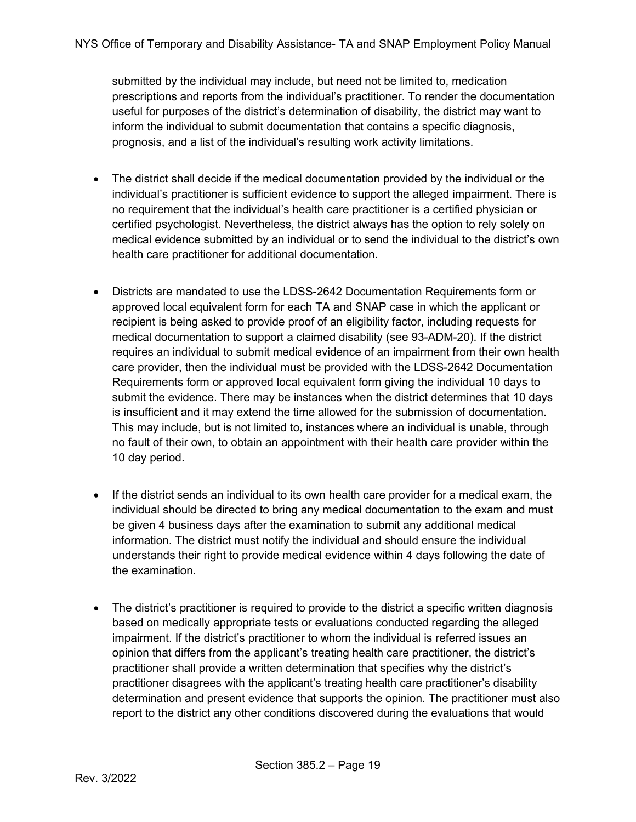submitted by the individual may include, but need not be limited to, medication prescriptions and reports from the individual's practitioner. To render the documentation useful for purposes of the district's determination of disability, the district may want to inform the individual to submit documentation that contains a specific diagnosis, prognosis, and a list of the individual's resulting work activity limitations.

- The district shall decide if the medical documentation provided by the individual or the individual's practitioner is sufficient evidence to support the alleged impairment. There is no requirement that the individual's health care practitioner is a certified physician or certified psychologist. Nevertheless, the district always has the option to rely solely on medical evidence submitted by an individual or to send the individual to the district's own health care practitioner for additional documentation.
- Districts are mandated to use the LDSS-2642 Documentation Requirements form or approved local equivalent form for each TA and SNAP case in which the applicant or recipient is being asked to provide proof of an eligibility factor, including requests for medical documentation to support a claimed disability (see 93-ADM-20). If the district requires an individual to submit medical evidence of an impairment from their own health care provider, then the individual must be provided with the LDSS-2642 Documentation Requirements form or approved local equivalent form giving the individual 10 days to submit the evidence. There may be instances when the district determines that 10 days is insufficient and it may extend the time allowed for the submission of documentation. This may include, but is not limited to, instances where an individual is unable, through no fault of their own, to obtain an appointment with their health care provider within the 10 day period.
- If the district sends an individual to its own health care provider for a medical exam, the individual should be directed to bring any medical documentation to the exam and must be given 4 business days after the examination to submit any additional medical information. The district must notify the individual and should ensure the individual understands their right to provide medical evidence within 4 days following the date of the examination.
- The district's practitioner is required to provide to the district a specific written diagnosis based on medically appropriate tests or evaluations conducted regarding the alleged impairment. If the district's practitioner to whom the individual is referred issues an opinion that differs from the applicant's treating health care practitioner, the district's practitioner shall provide a written determination that specifies why the district's practitioner disagrees with the applicant's treating health care practitioner's disability determination and present evidence that supports the opinion. The practitioner must also report to the district any other conditions discovered during the evaluations that would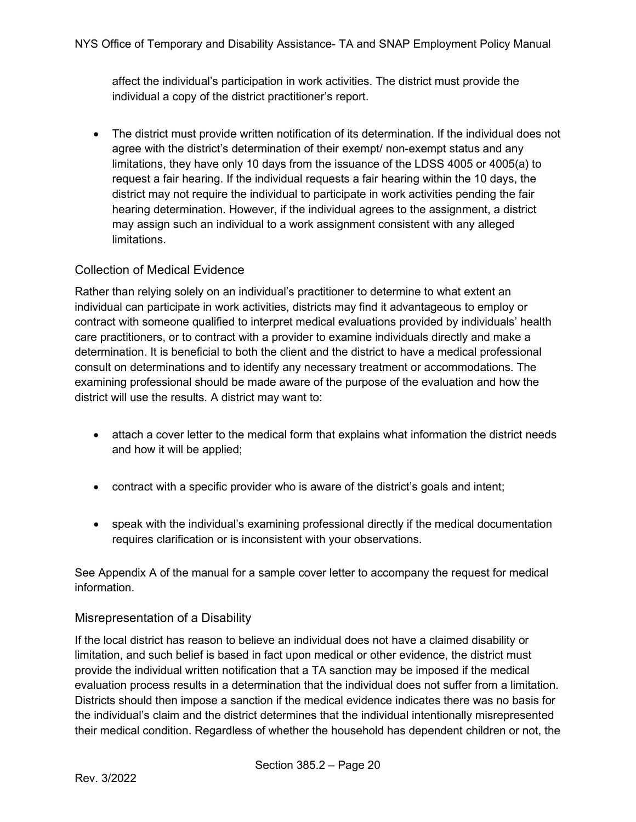affect the individual's participation in work activities. The district must provide the individual a copy of the district practitioner's report.

• The district must provide written notification of its determination. If the individual does not agree with the district's determination of their exempt/ non-exempt status and any limitations, they have only 10 days from the issuance of the LDSS 4005 or 4005(a) to request a fair hearing. If the individual requests a fair hearing within the 10 days, the district may not require the individual to participate in work activities pending the fair hearing determination. However, if the individual agrees to the assignment, a district may assign such an individual to a work assignment consistent with any alleged limitations.

#### Collection of Medical Evidence

Rather than relying solely on an individual's practitioner to determine to what extent an individual can participate in work activities, districts may find it advantageous to employ or contract with someone qualified to interpret medical evaluations provided by individuals' health care practitioners, or to contract with a provider to examine individuals directly and make a determination. It is beneficial to both the client and the district to have a medical professional consult on determinations and to identify any necessary treatment or accommodations. The examining professional should be made aware of the purpose of the evaluation and how the district will use the results. A district may want to:

- attach a cover letter to the medical form that explains what information the district needs and how it will be applied;
- contract with a specific provider who is aware of the district's goals and intent;
- speak with the individual's examining professional directly if the medical documentation requires clarification or is inconsistent with your observations.

See Appendix A of the manual for a sample cover letter to accompany the request for medical information.

#### Misrepresentation of a Disability

If the local district has reason to believe an individual does not have a claimed disability or limitation, and such belief is based in fact upon medical or other evidence, the district must provide the individual written notification that a TA sanction may be imposed if the medical evaluation process results in a determination that the individual does not suffer from a limitation. Districts should then impose a sanction if the medical evidence indicates there was no basis for the individual's claim and the district determines that the individual intentionally misrepresented their medical condition. Regardless of whether the household has dependent children or not, the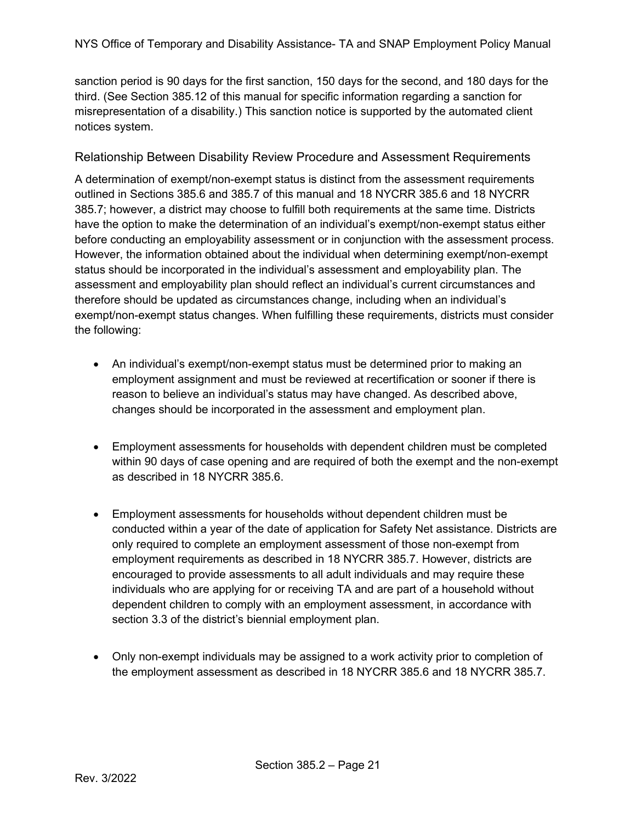sanction period is 90 days for the first sanction, 150 days for the second, and 180 days for the third. (See Section 385.12 of this manual for specific information regarding a sanction for misrepresentation of a disability.) This sanction notice is supported by the automated client notices system.

#### Relationship Between Disability Review Procedure and Assessment Requirements

A determination of exempt/non-exempt status is distinct from the assessment requirements outlined in Sections 385.6 and 385.7 of this manual and 18 NYCRR 385.6 and 18 NYCRR 385.7; however, a district may choose to fulfill both requirements at the same time. Districts have the option to make the determination of an individual's exempt/non-exempt status either before conducting an employability assessment or in conjunction with the assessment process. However, the information obtained about the individual when determining exempt/non-exempt status should be incorporated in the individual's assessment and employability plan. The assessment and employability plan should reflect an individual's current circumstances and therefore should be updated as circumstances change, including when an individual's exempt/non-exempt status changes. When fulfilling these requirements, districts must consider the following:

- An individual's exempt/non-exempt status must be determined prior to making an employment assignment and must be reviewed at recertification or sooner if there is reason to believe an individual's status may have changed. As described above, changes should be incorporated in the assessment and employment plan.
- Employment assessments for households with dependent children must be completed within 90 days of case opening and are required of both the exempt and the non-exempt as described in 18 NYCRR 385.6.
- Employment assessments for households without dependent children must be conducted within a year of the date of application for Safety Net assistance. Districts are only required to complete an employment assessment of those non-exempt from employment requirements as described in 18 NYCRR 385.7. However, districts are encouraged to provide assessments to all adult individuals and may require these individuals who are applying for or receiving TA and are part of a household without dependent children to comply with an employment assessment, in accordance with section 3.3 of the district's biennial employment plan.
- Only non-exempt individuals may be assigned to a work activity prior to completion of the employment assessment as described in 18 NYCRR 385.6 and 18 NYCRR 385.7.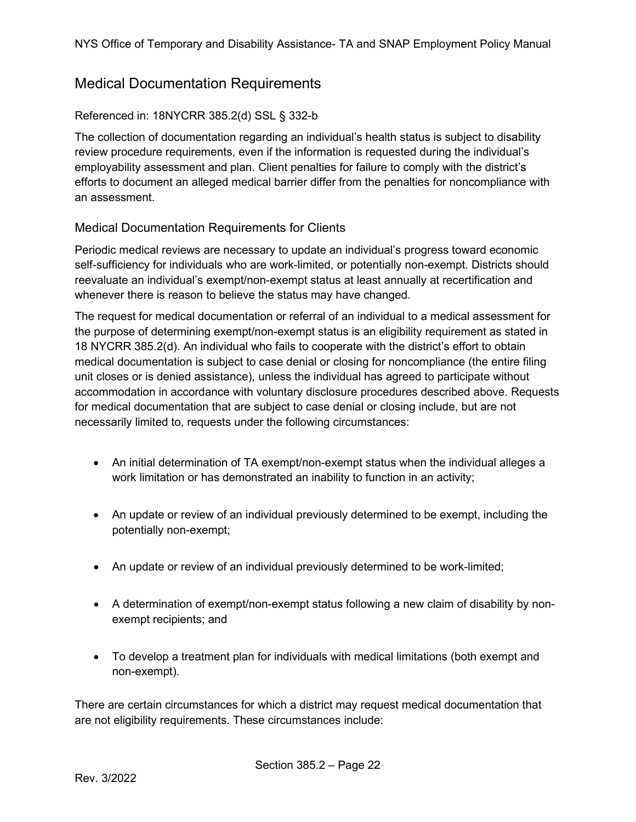### <span id="page-21-0"></span>Medical Documentation Requirements

#### Referenced in: 18NYCRR 385.2(d) SSL § 332-b

The collection of documentation regarding an individual's health status is subject to disability review procedure requirements, even if the information is requested during the individual's employability assessment and plan. Client penalties for failure to comply with the district's efforts to document an alleged medical barrier differ from the penalties for noncompliance with an assessment.

#### Medical Documentation Requirements for Clients

Periodic medical reviews are necessary to update an individual's progress toward economic self-sufficiency for individuals who are work-limited, or potentially non-exempt. Districts should reevaluate an individual's exempt/non-exempt status at least annually at recertification and whenever there is reason to believe the status may have changed.

The request for medical documentation or referral of an individual to a medical assessment for the purpose of determining exempt/non-exempt status is an eligibility requirement as stated in 18 NYCRR 385.2(d). An individual who fails to cooperate with the district's effort to obtain medical documentation is subject to case denial or closing for noncompliance (the entire filing unit closes or is denied assistance), unless the individual has agreed to participate without accommodation in accordance with voluntary disclosure procedures described above. Requests for medical documentation that are subject to case denial or closing include, but are not necessarily limited to, requests under the following circumstances:

- An initial determination of TA exempt/non-exempt status when the individual alleges a work limitation or has demonstrated an inability to function in an activity;
- An update or review of an individual previously determined to be exempt, including the potentially non-exempt;
- An update or review of an individual previously determined to be work-limited;
- A determination of exempt/non-exempt status following a new claim of disability by nonexempt recipients; and
- To develop a treatment plan for individuals with medical limitations (both exempt and non-exempt).

There are certain circumstances for which a district may request medical documentation that are not eligibility requirements. These circumstances include: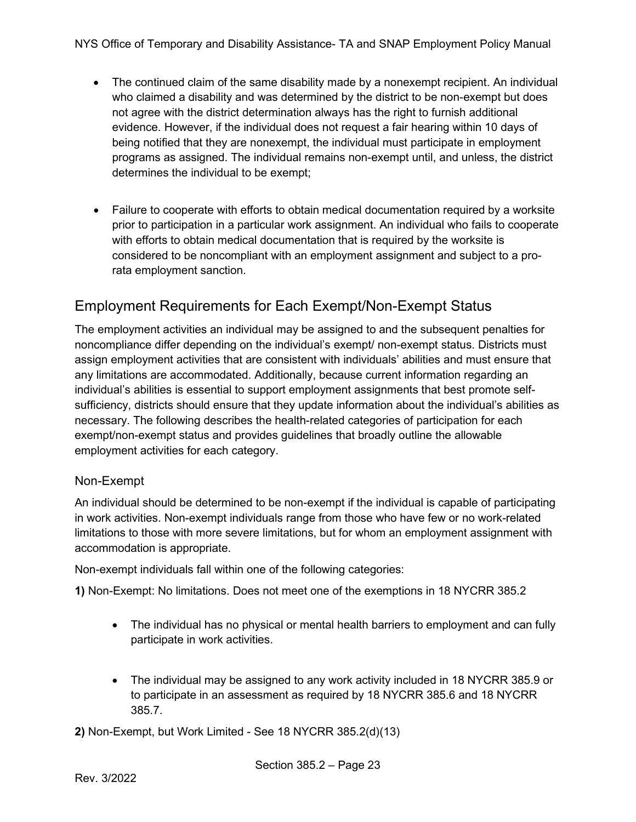- The continued claim of the same disability made by a nonexempt recipient. An individual who claimed a disability and was determined by the district to be non-exempt but does not agree with the district determination always has the right to furnish additional evidence. However, if the individual does not request a fair hearing within 10 days of being notified that they are nonexempt, the individual must participate in employment programs as assigned. The individual remains non-exempt until, and unless, the district determines the individual to be exempt;
- Failure to cooperate with efforts to obtain medical documentation required by a worksite prior to participation in a particular work assignment. An individual who fails to cooperate with efforts to obtain medical documentation that is required by the worksite is considered to be noncompliant with an employment assignment and subject to a prorata employment sanction.

# <span id="page-22-0"></span>Employment Requirements for Each Exempt/Non-Exempt Status

The employment activities an individual may be assigned to and the subsequent penalties for noncompliance differ depending on the individual's exempt/ non-exempt status. Districts must assign employment activities that are consistent with individuals' abilities and must ensure that any limitations are accommodated. Additionally, because current information regarding an individual's abilities is essential to support employment assignments that best promote selfsufficiency, districts should ensure that they update information about the individual's abilities as necessary. The following describes the health-related categories of participation for each exempt/non-exempt status and provides guidelines that broadly outline the allowable employment activities for each category.

#### Non-Exempt

An individual should be determined to be non-exempt if the individual is capable of participating in work activities. Non-exempt individuals range from those who have few or no work-related limitations to those with more severe limitations, but for whom an employment assignment with accommodation is appropriate.

Non-exempt individuals fall within one of the following categories:

**1)** Non-Exempt: No limitations. Does not meet one of the exemptions in 18 NYCRR 385.2

- The individual has no physical or mental health barriers to employment and can fully participate in work activities.
- The individual may be assigned to any work activity included in 18 NYCRR 385.9 or to participate in an assessment as required by 18 NYCRR 385.6 and 18 NYCRR 385.7.

**2)** Non-Exempt, but Work Limited - See 18 NYCRR 385.2(d)(13)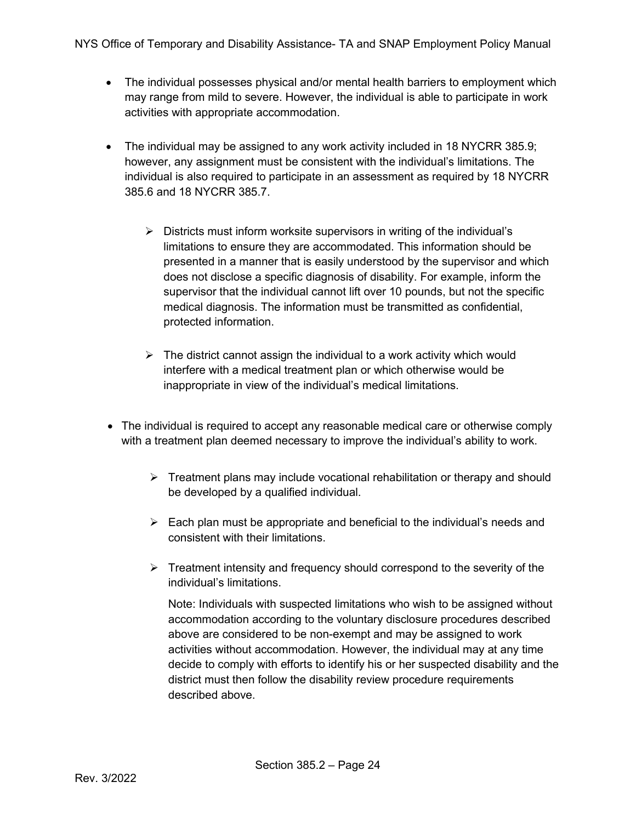- The individual possesses physical and/or mental health barriers to employment which may range from mild to severe. However, the individual is able to participate in work activities with appropriate accommodation.
- The individual may be assigned to any work activity included in 18 NYCRR 385.9; however, any assignment must be consistent with the individual's limitations. The individual is also required to participate in an assessment as required by 18 NYCRR 385.6 and 18 NYCRR 385.7.
	- $\triangleright$  Districts must inform worksite supervisors in writing of the individual's limitations to ensure they are accommodated. This information should be presented in a manner that is easily understood by the supervisor and which does not disclose a specific diagnosis of disability. For example, inform the supervisor that the individual cannot lift over 10 pounds, but not the specific medical diagnosis. The information must be transmitted as confidential, protected information.
	- $\triangleright$  The district cannot assign the individual to a work activity which would interfere with a medical treatment plan or which otherwise would be inappropriate in view of the individual's medical limitations.
- The individual is required to accept any reasonable medical care or otherwise comply with a treatment plan deemed necessary to improve the individual's ability to work.
	- $\triangleright$  Treatment plans may include vocational rehabilitation or therapy and should be developed by a qualified individual.
	- $\triangleright$  Each plan must be appropriate and beneficial to the individual's needs and consistent with their limitations.
	- $\triangleright$  Treatment intensity and frequency should correspond to the severity of the individual's limitations.

Note: Individuals with suspected limitations who wish to be assigned without accommodation according to the voluntary disclosure procedures described above are considered to be non-exempt and may be assigned to work activities without accommodation. However, the individual may at any time decide to comply with efforts to identify his or her suspected disability and the district must then follow the disability review procedure requirements described above.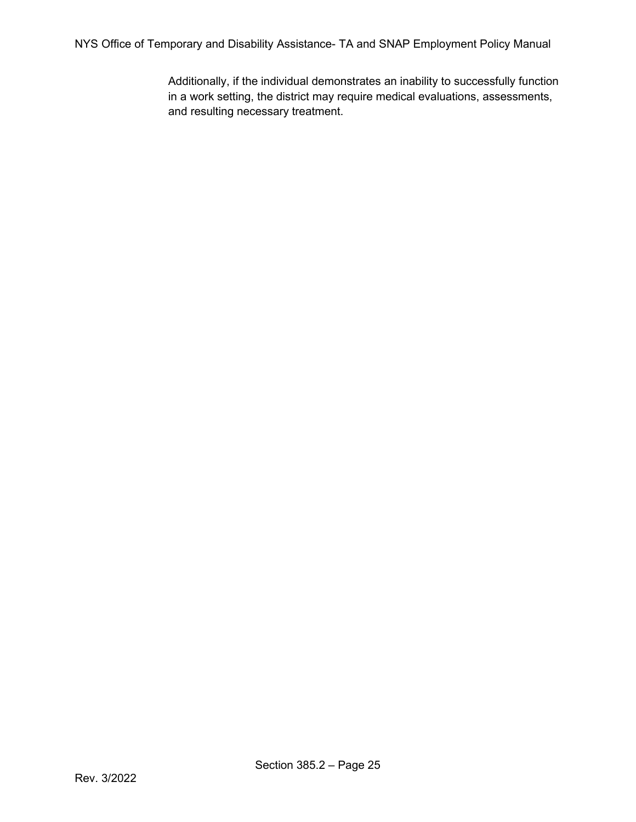Additionally, if the individual demonstrates an inability to successfully function in a work setting, the district may require medical evaluations, assessments, and resulting necessary treatment.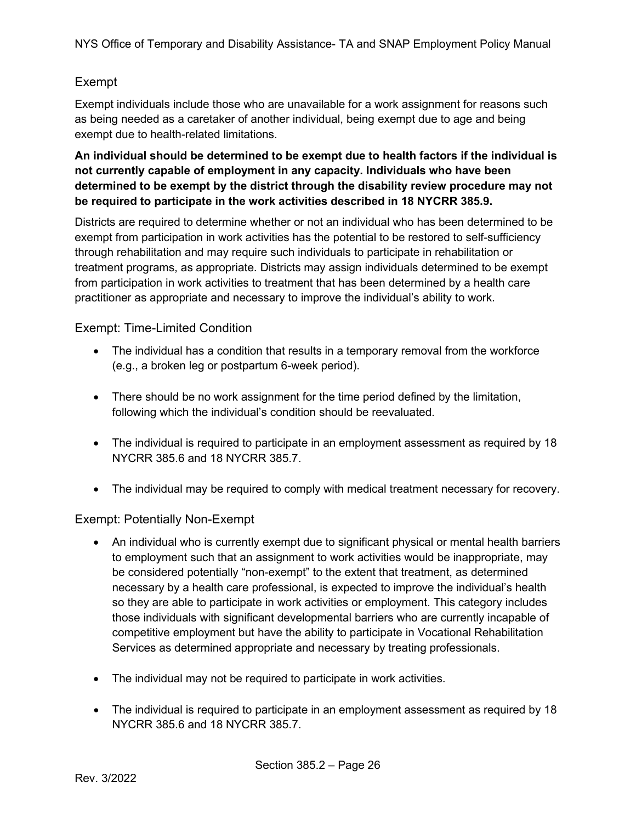#### Exempt

Exempt individuals include those who are unavailable for a work assignment for reasons such as being needed as a caretaker of another individual, being exempt due to age and being exempt due to health-related limitations.

#### **An individual should be determined to be exempt due to health factors if the individual is not currently capable of employment in any capacity. Individuals who have been determined to be exempt by the district through the disability review procedure may not be required to participate in the work activities described in 18 NYCRR 385.9.**

Districts are required to determine whether or not an individual who has been determined to be exempt from participation in work activities has the potential to be restored to self-sufficiency through rehabilitation and may require such individuals to participate in rehabilitation or treatment programs, as appropriate. Districts may assign individuals determined to be exempt from participation in work activities to treatment that has been determined by a health care practitioner as appropriate and necessary to improve the individual's ability to work.

#### Exempt: Time-Limited Condition

- The individual has a condition that results in a temporary removal from the workforce (e.g., a broken leg or postpartum 6-week period).
- There should be no work assignment for the time period defined by the limitation, following which the individual's condition should be reevaluated.
- The individual is required to participate in an employment assessment as required by 18 NYCRR 385.6 and 18 NYCRR 385.7.
- The individual may be required to comply with medical treatment necessary for recovery.

#### Exempt: Potentially Non-Exempt

- An individual who is currently exempt due to significant physical or mental health barriers to employment such that an assignment to work activities would be inappropriate, may be considered potentially "non-exempt" to the extent that treatment, as determined necessary by a health care professional, is expected to improve the individual's health so they are able to participate in work activities or employment. This category includes those individuals with significant developmental barriers who are currently incapable of competitive employment but have the ability to participate in Vocational Rehabilitation Services as determined appropriate and necessary by treating professionals.
- The individual may not be required to participate in work activities.
- The individual is required to participate in an employment assessment as required by 18 NYCRR 385.6 and 18 NYCRR 385.7.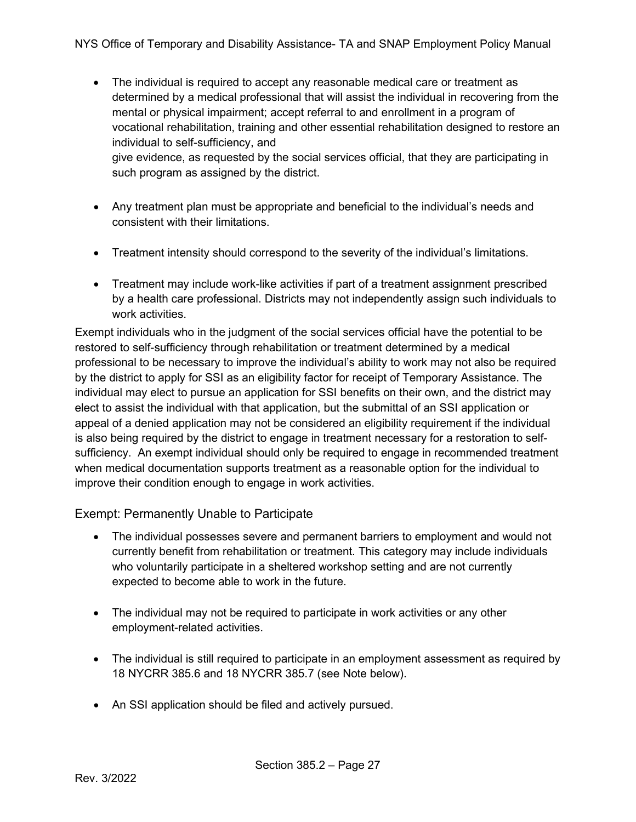- The individual is required to accept any reasonable medical care or treatment as determined by a medical professional that will assist the individual in recovering from the mental or physical impairment; accept referral to and enrollment in a program of vocational rehabilitation, training and other essential rehabilitation designed to restore an individual to self-sufficiency, and give evidence, as requested by the social services official, that they are participating in such program as assigned by the district.
- Any treatment plan must be appropriate and beneficial to the individual's needs and consistent with their limitations.
- Treatment intensity should correspond to the severity of the individual's limitations.
- Treatment may include work-like activities if part of a treatment assignment prescribed by a health care professional. Districts may not independently assign such individuals to work activities.

Exempt individuals who in the judgment of the social services official have the potential to be restored to self-sufficiency through rehabilitation or treatment determined by a medical professional to be necessary to improve the individual's ability to work may not also be required by the district to apply for SSI as an eligibility factor for receipt of Temporary Assistance. The individual may elect to pursue an application for SSI benefits on their own, and the district may elect to assist the individual with that application, but the submittal of an SSI application or appeal of a denied application may not be considered an eligibility requirement if the individual is also being required by the district to engage in treatment necessary for a restoration to selfsufficiency. An exempt individual should only be required to engage in recommended treatment when medical documentation supports treatment as a reasonable option for the individual to improve their condition enough to engage in work activities.

#### Exempt: Permanently Unable to Participate

- The individual possesses severe and permanent barriers to employment and would not currently benefit from rehabilitation or treatment. This category may include individuals who voluntarily participate in a sheltered workshop setting and are not currently expected to become able to work in the future.
- The individual may not be required to participate in work activities or any other employment-related activities.
- The individual is still required to participate in an employment assessment as required by 18 NYCRR 385.6 and 18 NYCRR 385.7 (see Note below).
- An SSI application should be filed and actively pursued.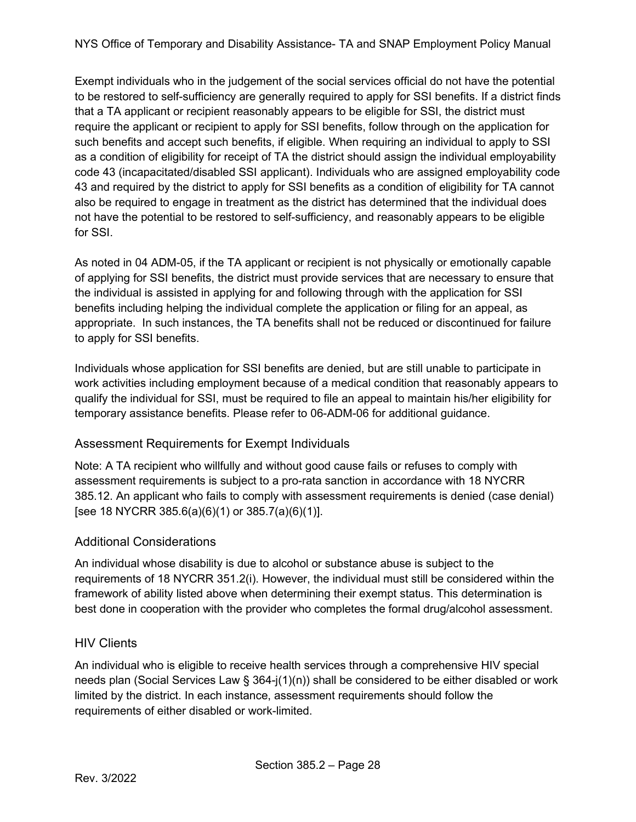NYS Office of Temporary and Disability Assistance- TA and SNAP Employment Policy Manual

Exempt individuals who in the judgement of the social services official do not have the potential to be restored to self-sufficiency are generally required to apply for SSI benefits. If a district finds that a TA applicant or recipient reasonably appears to be eligible for SSI, the district must require the applicant or recipient to apply for SSI benefits, follow through on the application for such benefits and accept such benefits, if eligible. When requiring an individual to apply to SSI as a condition of eligibility for receipt of TA the district should assign the individual employability code 43 (incapacitated/disabled SSI applicant). Individuals who are assigned employability code 43 and required by the district to apply for SSI benefits as a condition of eligibility for TA cannot also be required to engage in treatment as the district has determined that the individual does not have the potential to be restored to self-sufficiency, and reasonably appears to be eligible for SSI.

As noted in 04 ADM-05, if the TA applicant or recipient is not physically or emotionally capable of applying for SSI benefits, the district must provide services that are necessary to ensure that the individual is assisted in applying for and following through with the application for SSI benefits including helping the individual complete the application or filing for an appeal, as appropriate. In such instances, the TA benefits shall not be reduced or discontinued for failure to apply for SSI benefits.

Individuals whose application for SSI benefits are denied, but are still unable to participate in work activities including employment because of a medical condition that reasonably appears to qualify the individual for SSI, must be required to file an appeal to maintain his/her eligibility for temporary assistance benefits. Please refer to 06-ADM-06 for additional guidance.

#### Assessment Requirements for Exempt Individuals

Note: A TA recipient who willfully and without good cause fails or refuses to comply with assessment requirements is subject to a pro-rata sanction in accordance with 18 NYCRR 385.12. An applicant who fails to comply with assessment requirements is denied (case denial) [see 18 NYCRR 385.6(a)(6)(1) or 385.7(a)(6)(1)].

#### Additional Considerations

An individual whose disability is due to alcohol or substance abuse is subject to the requirements of 18 NYCRR 351.2(i). However, the individual must still be considered within the framework of ability listed above when determining their exempt status. This determination is best done in cooperation with the provider who completes the formal drug/alcohol assessment.

#### <span id="page-27-0"></span>HIV Clients

An individual who is eligible to receive health services through a comprehensive HIV special needs plan (Social Services Law § 364-j(1)(n)) shall be considered to be either disabled or work limited by the district. In each instance, assessment requirements should follow the requirements of either disabled or work-limited.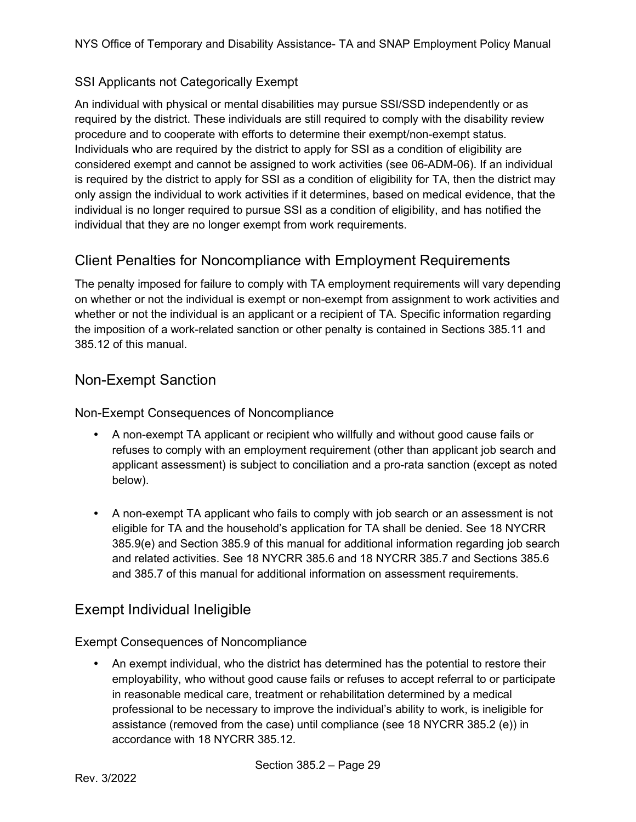#### <span id="page-28-0"></span>SSI Applicants not Categorically Exempt

An individual with physical or mental disabilities may pursue SSI/SSD independently or as required by the district. These individuals are still required to comply with the disability review procedure and to cooperate with efforts to determine their exempt/non-exempt status. Individuals who are required by the district to apply for SSI as a condition of eligibility are considered exempt and cannot be assigned to work activities (see 06-ADM-06). If an individual is required by the district to apply for SSI as a condition of eligibility for TA, then the district may only assign the individual to work activities if it determines, based on medical evidence, that the individual is no longer required to pursue SSI as a condition of eligibility, and has notified the individual that they are no longer exempt from work requirements.

# <span id="page-28-1"></span>Client Penalties for Noncompliance with Employment Requirements

The penalty imposed for failure to comply with TA employment requirements will vary depending on whether or not the individual is exempt or non-exempt from assignment to work activities and whether or not the individual is an applicant or a recipient of TA. Specific information regarding the imposition of a work-related sanction or other penalty is contained in Sections 385.11 and 385.12 of this manual.

### <span id="page-28-2"></span>Non-Exempt Sanction

Non-Exempt Consequences of Noncompliance

- A non-exempt TA applicant or recipient who willfully and without good cause fails or refuses to comply with an employment requirement (other than applicant job search and applicant assessment) is subject to conciliation and a pro-rata sanction (except as noted below).
- A non-exempt TA applicant who fails to comply with job search or an assessment is not eligible for TA and the household's application for TA shall be denied. See 18 NYCRR 385.9(e) and Section 385.9 of this manual for additional information regarding job search and related activities. See 18 NYCRR 385.6 and 18 NYCRR 385.7 and Sections 385.6 and 385.7 of this manual for additional information on assessment requirements.

# <span id="page-28-3"></span>Exempt Individual Ineligible

Exempt Consequences of Noncompliance

 An exempt individual, who the district has determined has the potential to restore their employability, who without good cause fails or refuses to accept referral to or participate in reasonable medical care, treatment or rehabilitation determined by a medical professional to be necessary to improve the individual's ability to work, is ineligible for assistance (removed from the case) until compliance (see 18 NYCRR 385.2 (e)) in accordance with 18 NYCRR 385.12.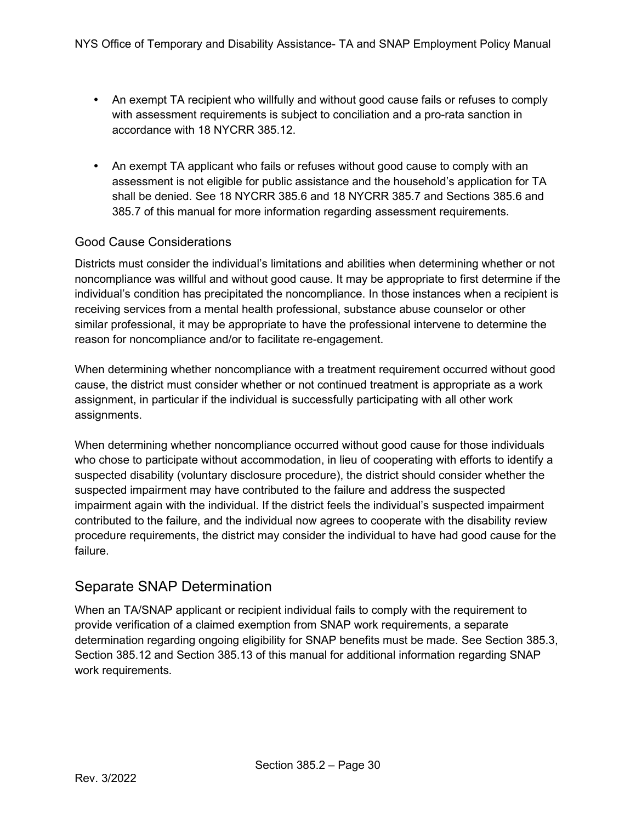- An exempt TA recipient who willfully and without good cause fails or refuses to comply with assessment requirements is subject to conciliation and a pro-rata sanction in accordance with 18 NYCRR 385.12.
- An exempt TA applicant who fails or refuses without good cause to comply with an assessment is not eligible for public assistance and the household's application for TA shall be denied. See 18 NYCRR 385.6 and 18 NYCRR 385.7 and Sections 385.6 and 385.7 of this manual for more information regarding assessment requirements.

#### Good Cause Considerations

Districts must consider the individual's limitations and abilities when determining whether or not noncompliance was willful and without good cause. It may be appropriate to first determine if the individual's condition has precipitated the noncompliance. In those instances when a recipient is receiving services from a mental health professional, substance abuse counselor or other similar professional, it may be appropriate to have the professional intervene to determine the reason for noncompliance and/or to facilitate re-engagement.

When determining whether noncompliance with a treatment requirement occurred without good cause, the district must consider whether or not continued treatment is appropriate as a work assignment, in particular if the individual is successfully participating with all other work assignments.

When determining whether noncompliance occurred without good cause for those individuals who chose to participate without accommodation, in lieu of cooperating with efforts to identify a suspected disability (voluntary disclosure procedure), the district should consider whether the suspected impairment may have contributed to the failure and address the suspected impairment again with the individual. If the district feels the individual's suspected impairment contributed to the failure, and the individual now agrees to cooperate with the disability review procedure requirements, the district may consider the individual to have had good cause for the failure.

# <span id="page-29-0"></span>Separate SNAP Determination

When an TA/SNAP applicant or recipient individual fails to comply with the requirement to provide verification of a claimed exemption from SNAP work requirements, a separate determination regarding ongoing eligibility for SNAP benefits must be made. See Section 385.3, Section 385.12 and Section 385.13 of this manual for additional information regarding SNAP work requirements.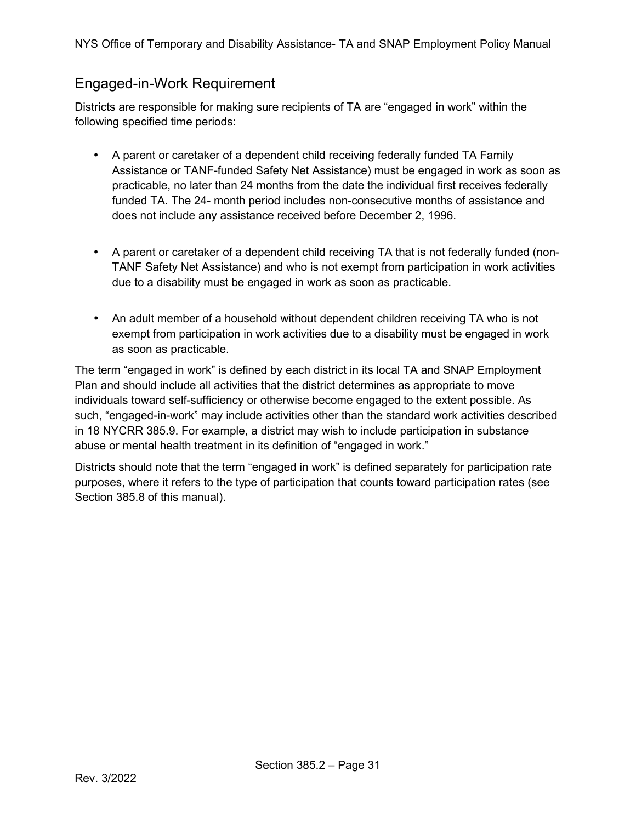# <span id="page-30-0"></span>Engaged-in-Work Requirement

Districts are responsible for making sure recipients of TA are "engaged in work" within the following specified time periods:

- A parent or caretaker of a dependent child receiving federally funded TA Family Assistance or TANF-funded Safety Net Assistance) must be engaged in work as soon as practicable, no later than 24 months from the date the individual first receives federally funded TA. The 24- month period includes non-consecutive months of assistance and does not include any assistance received before December 2, 1996.
- A parent or caretaker of a dependent child receiving TA that is not federally funded (non-TANF Safety Net Assistance) and who is not exempt from participation in work activities due to a disability must be engaged in work as soon as practicable.
- An adult member of a household without dependent children receiving TA who is not exempt from participation in work activities due to a disability must be engaged in work as soon as practicable.

The term "engaged in work" is defined by each district in its local TA and SNAP Employment Plan and should include all activities that the district determines as appropriate to move individuals toward self-sufficiency or otherwise become engaged to the extent possible. As such, "engaged-in-work" may include activities other than the standard work activities described in 18 NYCRR 385.9. For example, a district may wish to include participation in substance abuse or mental health treatment in its definition of "engaged in work."

Districts should note that the term "engaged in work" is defined separately for participation rate purposes, where it refers to the type of participation that counts toward participation rates (see Section 385.8 of this manual).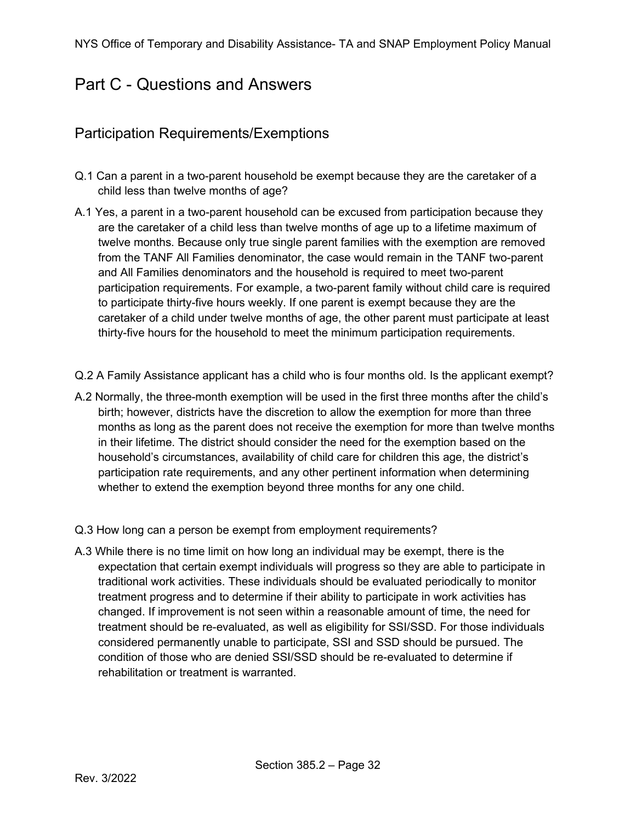# <span id="page-31-0"></span>Part C - Questions and Answers

### <span id="page-31-1"></span>Participation Requirements/Exemptions

- Q.1 Can a parent in a two-parent household be exempt because they are the caretaker of a child less than twelve months of age?
- A.1 Yes, a parent in a two-parent household can be excused from participation because they are the caretaker of a child less than twelve months of age up to a lifetime maximum of twelve months. Because only true single parent families with the exemption are removed from the TANF All Families denominator, the case would remain in the TANF two-parent and All Families denominators and the household is required to meet two-parent participation requirements. For example, a two-parent family without child care is required to participate thirty-five hours weekly. If one parent is exempt because they are the caretaker of a child under twelve months of age, the other parent must participate at least thirty-five hours for the household to meet the minimum participation requirements.
- Q.2 A Family Assistance applicant has a child who is four months old. Is the applicant exempt?
- A.2 Normally, the three-month exemption will be used in the first three months after the child's birth; however, districts have the discretion to allow the exemption for more than three months as long as the parent does not receive the exemption for more than twelve months in their lifetime. The district should consider the need for the exemption based on the household's circumstances, availability of child care for children this age, the district's participation rate requirements, and any other pertinent information when determining whether to extend the exemption beyond three months for any one child.
- Q.3 How long can a person be exempt from employment requirements?
- A.3 While there is no time limit on how long an individual may be exempt, there is the expectation that certain exempt individuals will progress so they are able to participate in traditional work activities. These individuals should be evaluated periodically to monitor treatment progress and to determine if their ability to participate in work activities has changed. If improvement is not seen within a reasonable amount of time, the need for treatment should be re-evaluated, as well as eligibility for SSI/SSD. For those individuals considered permanently unable to participate, SSI and SSD should be pursued. The condition of those who are denied SSI/SSD should be re-evaluated to determine if rehabilitation or treatment is warranted.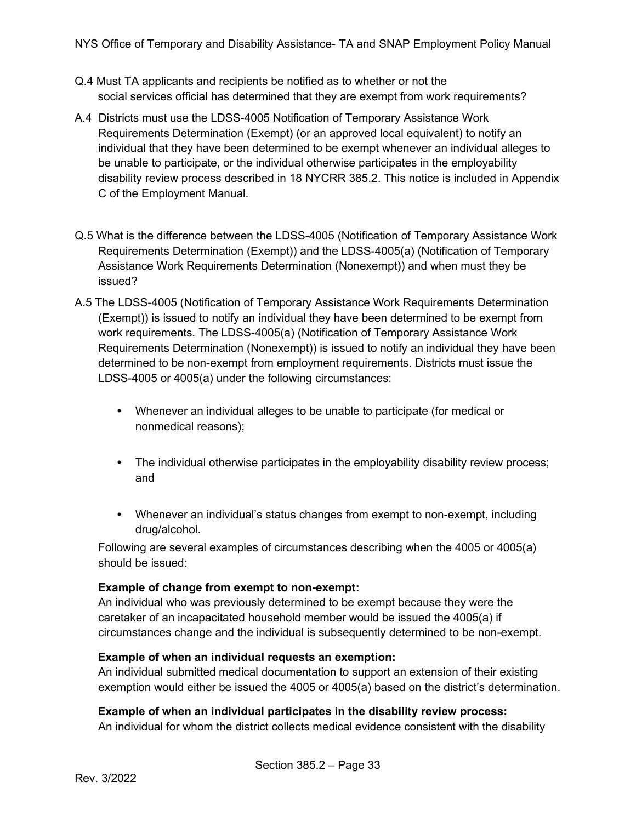- Q.4 Must TA applicants and recipients be notified as to whether or not the social services official has determined that they are exempt from work requirements?
- A.4 Districts must use the LDSS-4005 Notification of Temporary Assistance Work Requirements Determination (Exempt) (or an approved local equivalent) to notify an individual that they have been determined to be exempt whenever an individual alleges to be unable to participate, or the individual otherwise participates in the employability disability review process described in 18 NYCRR 385.2. This notice is included in Appendix C of the Employment Manual.
- Q.5 What is the difference between the LDSS-4005 (Notification of Temporary Assistance Work Requirements Determination (Exempt)) and the LDSS-4005(a) (Notification of Temporary Assistance Work Requirements Determination (Nonexempt)) and when must they be issued?
- A.5 The LDSS-4005 (Notification of Temporary Assistance Work Requirements Determination (Exempt)) is issued to notify an individual they have been determined to be exempt from work requirements. The LDSS-4005(a) (Notification of Temporary Assistance Work Requirements Determination (Nonexempt)) is issued to notify an individual they have been determined to be non-exempt from employment requirements. Districts must issue the LDSS-4005 or 4005(a) under the following circumstances:
	- Whenever an individual alleges to be unable to participate (for medical or nonmedical reasons);
	- The individual otherwise participates in the employability disability review process; and
	- Whenever an individual's status changes from exempt to non-exempt, including drug/alcohol.

Following are several examples of circumstances describing when the 4005 or 4005(a) should be issued:

#### **Example of change from exempt to non-exempt:**

An individual who was previously determined to be exempt because they were the caretaker of an incapacitated household member would be issued the 4005(a) if circumstances change and the individual is subsequently determined to be non-exempt.

#### **Example of when an individual requests an exemption:**

An individual submitted medical documentation to support an extension of their existing exemption would either be issued the 4005 or 4005(a) based on the district's determination.

#### **Example of when an individual participates in the disability review process:**

An individual for whom the district collects medical evidence consistent with the disability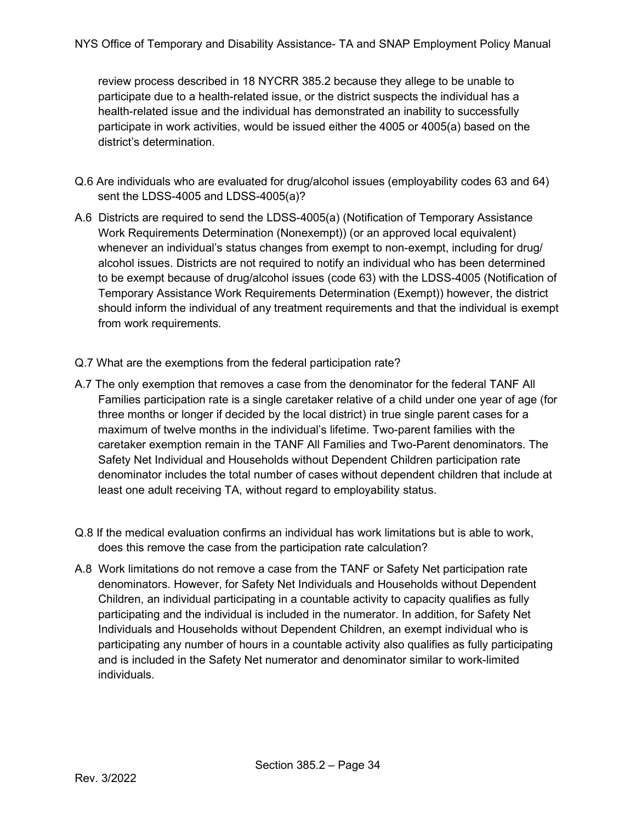review process described in 18 NYCRR 385.2 because they allege to be unable to participate due to a health-related issue, or the district suspects the individual has a health-related issue and the individual has demonstrated an inability to successfully participate in work activities, would be issued either the 4005 or 4005(a) based on the district's determination.

- Q.6 Are individuals who are evaluated for drug/alcohol issues (employability codes 63 and 64) sent the LDSS-4005 and LDSS-4005(a)?
- A.6 Districts are required to send the LDSS-4005(a) (Notification of Temporary Assistance Work Requirements Determination (Nonexempt)) (or an approved local equivalent) whenever an individual's status changes from exempt to non-exempt, including for drug/ alcohol issues. Districts are not required to notify an individual who has been determined to be exempt because of drug/alcohol issues (code 63) with the LDSS-4005 (Notification of Temporary Assistance Work Requirements Determination (Exempt)) however, the district should inform the individual of any treatment requirements and that the individual is exempt from work requirements.
- Q.7 What are the exemptions from the federal participation rate?
- A.7 The only exemption that removes a case from the denominator for the federal TANF All Families participation rate is a single caretaker relative of a child under one year of age (for three months or longer if decided by the local district) in true single parent cases for a maximum of twelve months in the individual's lifetime. Two-parent families with the caretaker exemption remain in the TANF All Families and Two-Parent denominators. The Safety Net Individual and Households without Dependent Children participation rate denominator includes the total number of cases without dependent children that include at least one adult receiving TA, without regard to employability status.
- Q.8 If the medical evaluation confirms an individual has work limitations but is able to work, does this remove the case from the participation rate calculation?
- A.8 Work limitations do not remove a case from the TANF or Safety Net participation rate denominators. However, for Safety Net Individuals and Households without Dependent Children, an individual participating in a countable activity to capacity qualifies as fully participating and the individual is included in the numerator. In addition, for Safety Net Individuals and Households without Dependent Children, an exempt individual who is participating any number of hours in a countable activity also qualifies as fully participating and is included in the Safety Net numerator and denominator similar to work-limited individuals.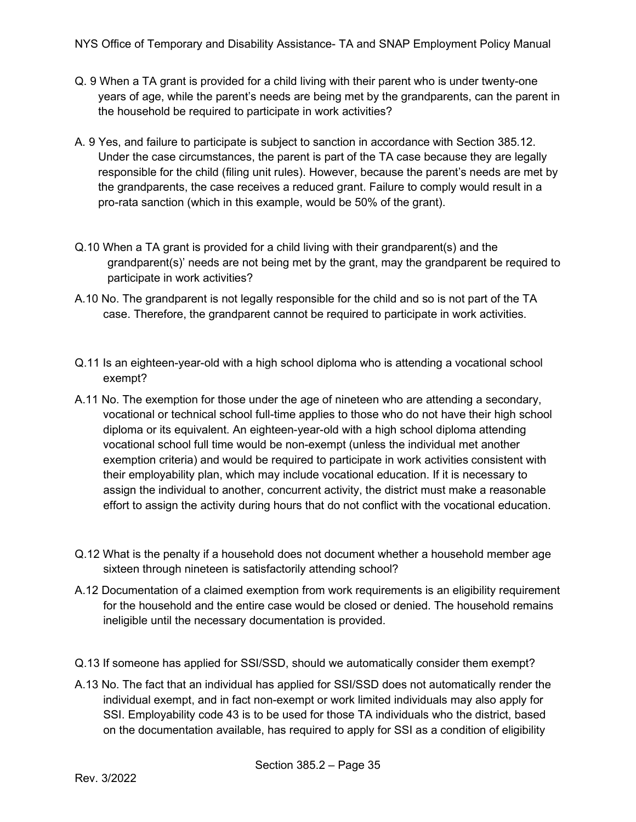- Q. 9 When a TA grant is provided for a child living with their parent who is under twenty-one years of age, while the parent's needs are being met by the grandparents, can the parent in the household be required to participate in work activities?
- A. 9 Yes, and failure to participate is subject to sanction in accordance with Section 385.12. Under the case circumstances, the parent is part of the TA case because they are legally responsible for the child (filing unit rules). However, because the parent's needs are met by the grandparents, the case receives a reduced grant. Failure to comply would result in a pro-rata sanction (which in this example, would be 50% of the grant).
- Q.10 When a TA grant is provided for a child living with their grandparent(s) and the grandparent(s)' needs are not being met by the grant, may the grandparent be required to participate in work activities?
- A.10 No. The grandparent is not legally responsible for the child and so is not part of the TA case. Therefore, the grandparent cannot be required to participate in work activities.
- Q.11 Is an eighteen-year-old with a high school diploma who is attending a vocational school exempt?
- A.11 No. The exemption for those under the age of nineteen who are attending a secondary, vocational or technical school full-time applies to those who do not have their high school diploma or its equivalent. An eighteen-year-old with a high school diploma attending vocational school full time would be non-exempt (unless the individual met another exemption criteria) and would be required to participate in work activities consistent with their employability plan, which may include vocational education. If it is necessary to assign the individual to another, concurrent activity, the district must make a reasonable effort to assign the activity during hours that do not conflict with the vocational education.
- Q.12 What is the penalty if a household does not document whether a household member age sixteen through nineteen is satisfactorily attending school?
- A.12 Documentation of a claimed exemption from work requirements is an eligibility requirement for the household and the entire case would be closed or denied. The household remains ineligible until the necessary documentation is provided.
- Q.13 If someone has applied for SSI/SSD, should we automatically consider them exempt?
- A.13 No. The fact that an individual has applied for SSI/SSD does not automatically render the individual exempt, and in fact non-exempt or work limited individuals may also apply for SSI. Employability code 43 is to be used for those TA individuals who the district, based on the documentation available, has required to apply for SSI as a condition of eligibility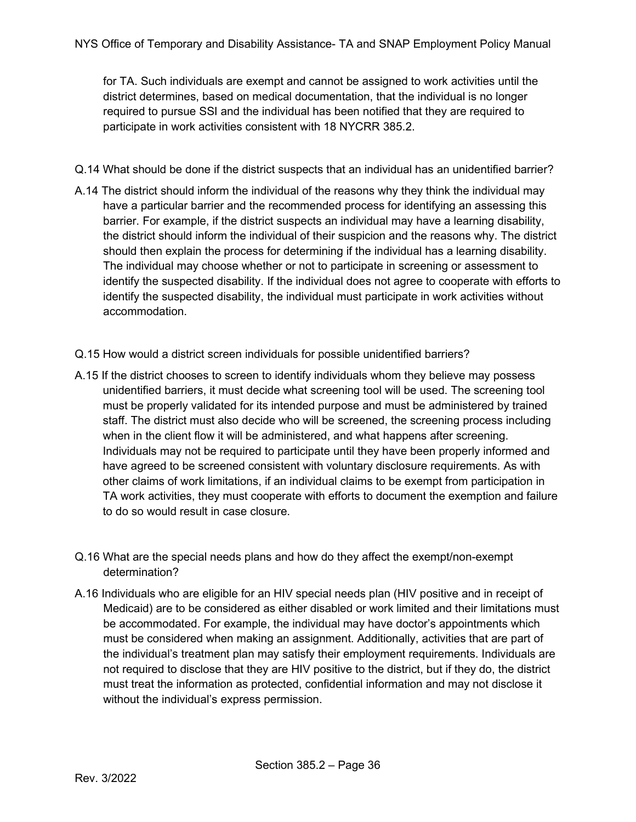for TA. Such individuals are exempt and cannot be assigned to work activities until the district determines, based on medical documentation, that the individual is no longer required to pursue SSI and the individual has been notified that they are required to participate in work activities consistent with 18 NYCRR 385.2.

- Q.14 What should be done if the district suspects that an individual has an unidentified barrier?
- A.14 The district should inform the individual of the reasons why they think the individual may have a particular barrier and the recommended process for identifying an assessing this barrier. For example, if the district suspects an individual may have a learning disability, the district should inform the individual of their suspicion and the reasons why. The district should then explain the process for determining if the individual has a learning disability. The individual may choose whether or not to participate in screening or assessment to identify the suspected disability. If the individual does not agree to cooperate with efforts to identify the suspected disability, the individual must participate in work activities without accommodation.
- Q.15 How would a district screen individuals for possible unidentified barriers?
- A.15 If the district chooses to screen to identify individuals whom they believe may possess unidentified barriers, it must decide what screening tool will be used. The screening tool must be properly validated for its intended purpose and must be administered by trained staff. The district must also decide who will be screened, the screening process including when in the client flow it will be administered, and what happens after screening. Individuals may not be required to participate until they have been properly informed and have agreed to be screened consistent with voluntary disclosure requirements. As with other claims of work limitations, if an individual claims to be exempt from participation in TA work activities, they must cooperate with efforts to document the exemption and failure to do so would result in case closure.
- Q.16 What are the special needs plans and how do they affect the exempt/non-exempt determination?
- A.16 Individuals who are eligible for an HIV special needs plan (HIV positive and in receipt of Medicaid) are to be considered as either disabled or work limited and their limitations must be accommodated. For example, the individual may have doctor's appointments which must be considered when making an assignment. Additionally, activities that are part of the individual's treatment plan may satisfy their employment requirements. Individuals are not required to disclose that they are HIV positive to the district, but if they do, the district must treat the information as protected, confidential information and may not disclose it without the individual's express permission.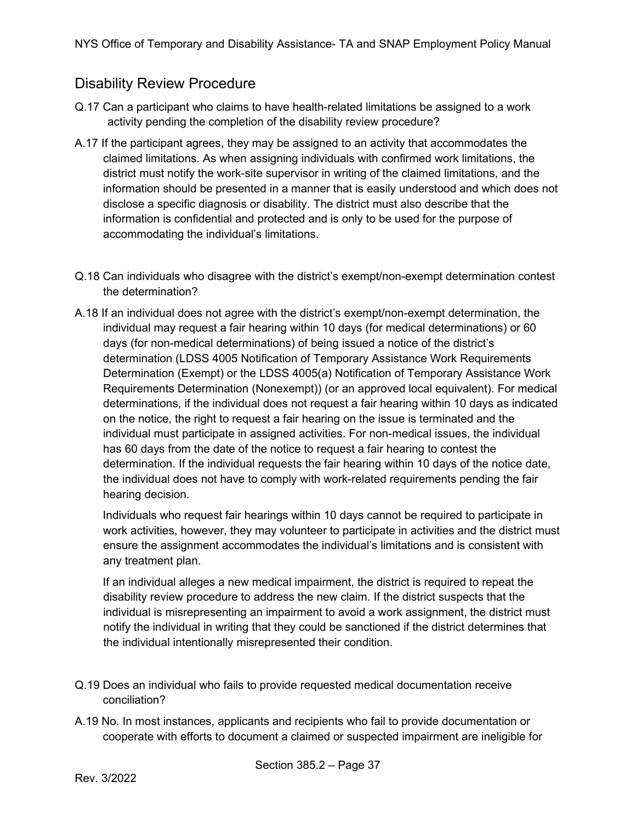### <span id="page-36-0"></span>Disability Review Procedure

- Q.17 Can a participant who claims to have health-related limitations be assigned to a work activity pending the completion of the disability review procedure?
- A.17 If the participant agrees, they may be assigned to an activity that accommodates the claimed limitations. As when assigning individuals with confirmed work limitations, the district must notify the work-site supervisor in writing of the claimed limitations, and the information should be presented in a manner that is easily understood and which does not disclose a specific diagnosis or disability. The district must also describe that the information is confidential and protected and is only to be used for the purpose of accommodating the individual's limitations.
- Q.18 Can individuals who disagree with the district's exempt/non-exempt determination contest the determination?
- A.18 If an individual does not agree with the district's exempt/non-exempt determination, the individual may request a fair hearing within 10 days (for medical determinations) or 60 days (for non-medical determinations) of being issued a notice of the district's determination (LDSS 4005 Notification of Temporary Assistance Work Requirements Determination (Exempt) or the LDSS 4005(a) Notification of Temporary Assistance Work Requirements Determination (Nonexempt)) (or an approved local equivalent). For medical determinations, if the individual does not request a fair hearing within 10 days as indicated on the notice, the right to request a fair hearing on the issue is terminated and the individual must participate in assigned activities. For non-medical issues, the individual has 60 days from the date of the notice to request a fair hearing to contest the determination. If the individual requests the fair hearing within 10 days of the notice date, the individual does not have to comply with work-related requirements pending the fair hearing decision.

Individuals who request fair hearings within 10 days cannot be required to participate in work activities, however, they may volunteer to participate in activities and the district must ensure the assignment accommodates the individual's limitations and is consistent with any treatment plan.

If an individual alleges a new medical impairment, the district is required to repeat the disability review procedure to address the new claim. If the district suspects that the individual is misrepresenting an impairment to avoid a work assignment, the district must notify the individual in writing that they could be sanctioned if the district determines that the individual intentionally misrepresented their condition.

- Q.19 Does an individual who fails to provide requested medical documentation receive conciliation?
- A.19 No. In most instances, applicants and recipients who fail to provide documentation or cooperate with efforts to document a claimed or suspected impairment are ineligible for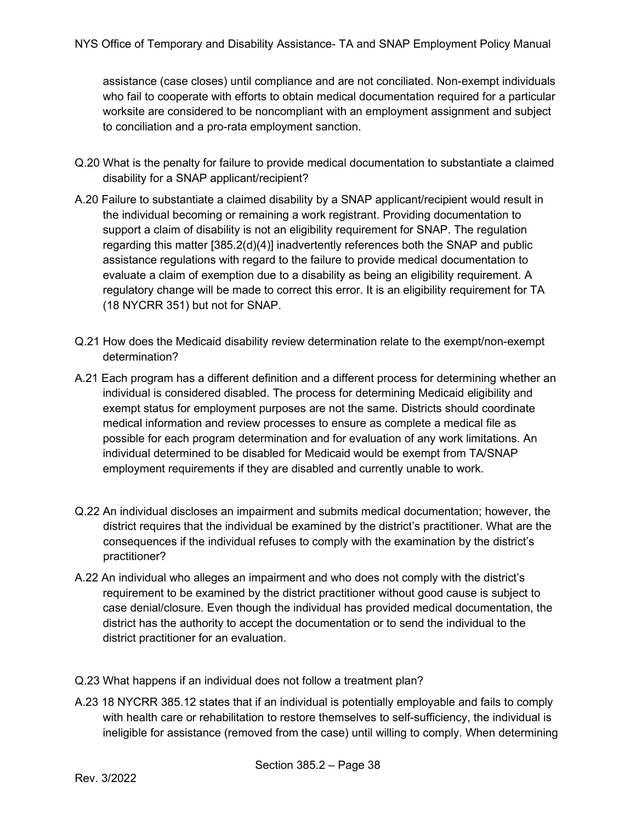assistance (case closes) until compliance and are not conciliated. Non-exempt individuals who fail to cooperate with efforts to obtain medical documentation required for a particular worksite are considered to be noncompliant with an employment assignment and subject to conciliation and a pro-rata employment sanction.

- Q.20 What is the penalty for failure to provide medical documentation to substantiate a claimed disability for a SNAP applicant/recipient?
- A.20 Failure to substantiate a claimed disability by a SNAP applicant/recipient would result in the individual becoming or remaining a work registrant. Providing documentation to support a claim of disability is not an eligibility requirement for SNAP. The regulation regarding this matter [385.2(d)(4)] inadvertently references both the SNAP and public assistance regulations with regard to the failure to provide medical documentation to evaluate a claim of exemption due to a disability as being an eligibility requirement. A regulatory change will be made to correct this error. It is an eligibility requirement for TA (18 NYCRR 351) but not for SNAP.
- Q.21 How does the Medicaid disability review determination relate to the exempt/non-exempt determination?
- A.21 Each program has a different definition and a different process for determining whether an individual is considered disabled. The process for determining Medicaid eligibility and exempt status for employment purposes are not the same. Districts should coordinate medical information and review processes to ensure as complete a medical file as possible for each program determination and for evaluation of any work limitations. An individual determined to be disabled for Medicaid would be exempt from TA/SNAP employment requirements if they are disabled and currently unable to work.
- Q.22 An individual discloses an impairment and submits medical documentation; however, the district requires that the individual be examined by the district's practitioner. What are the consequences if the individual refuses to comply with the examination by the district's practitioner?
- A.22 An individual who alleges an impairment and who does not comply with the district's requirement to be examined by the district practitioner without good cause is subject to case denial/closure. Even though the individual has provided medical documentation, the district has the authority to accept the documentation or to send the individual to the district practitioner for an evaluation.
- Q.23 What happens if an individual does not follow a treatment plan?
- A.23 18 NYCRR 385.12 states that if an individual is potentially employable and fails to comply with health care or rehabilitation to restore themselves to self-sufficiency, the individual is ineligible for assistance (removed from the case) until willing to comply. When determining